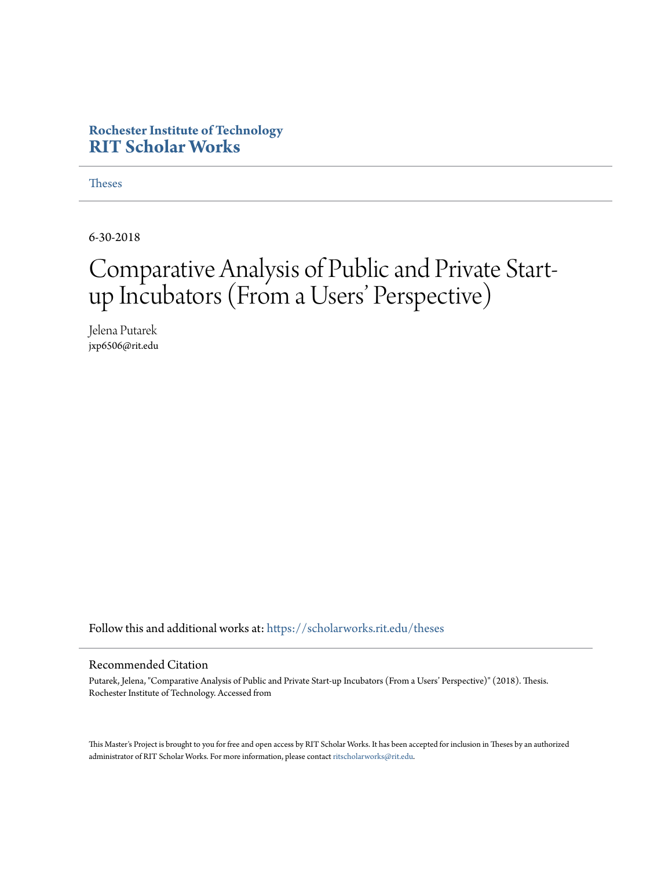## **Rochester Institute of Technology [RIT Scholar Works](https://scholarworks.rit.edu?utm_source=scholarworks.rit.edu%2Ftheses%2F10029&utm_medium=PDF&utm_campaign=PDFCoverPages)**

**[Theses](https://scholarworks.rit.edu/theses?utm_source=scholarworks.rit.edu%2Ftheses%2F10029&utm_medium=PDF&utm_campaign=PDFCoverPages)** 

6-30-2018

# Comparative Analysis of Public and Private Startup Incubators (From a Users' Perspective)

Jelena Putarek jxp6506@rit.edu

Follow this and additional works at: [https://scholarworks.rit.edu/theses](https://scholarworks.rit.edu/theses?utm_source=scholarworks.rit.edu%2Ftheses%2F10029&utm_medium=PDF&utm_campaign=PDFCoverPages)

#### Recommended Citation

Putarek, Jelena, "Comparative Analysis of Public and Private Start-up Incubators (From a Users' Perspective)" (2018). Thesis. Rochester Institute of Technology. Accessed from

This Master's Project is brought to you for free and open access by RIT Scholar Works. It has been accepted for inclusion in Theses by an authorized administrator of RIT Scholar Works. For more information, please contact [ritscholarworks@rit.edu.](mailto:ritscholarworks@rit.edu)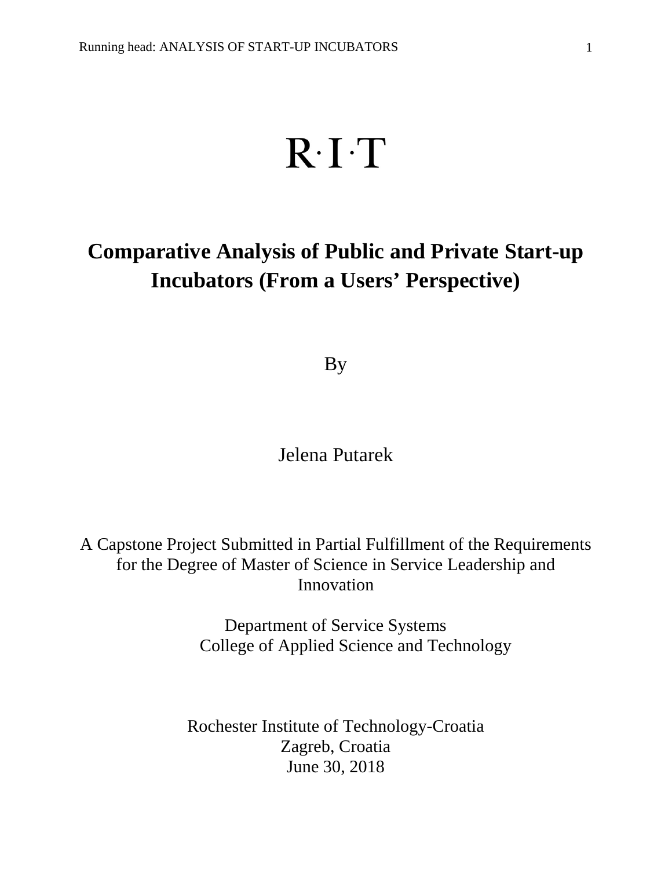# $R \cdot I \cdot T$

# **Comparative Analysis of Public and Private Start-up Incubators (From a Users' Perspective)**

By

Jelena Putarek

A Capstone Project Submitted in Partial Fulfillment of the Requirements for the Degree of Master of Science in Service Leadership and Innovation

> Department of Service Systems College of Applied Science and Technology

Rochester Institute of Technology-Croatia Zagreb, Croatia June 30, 2018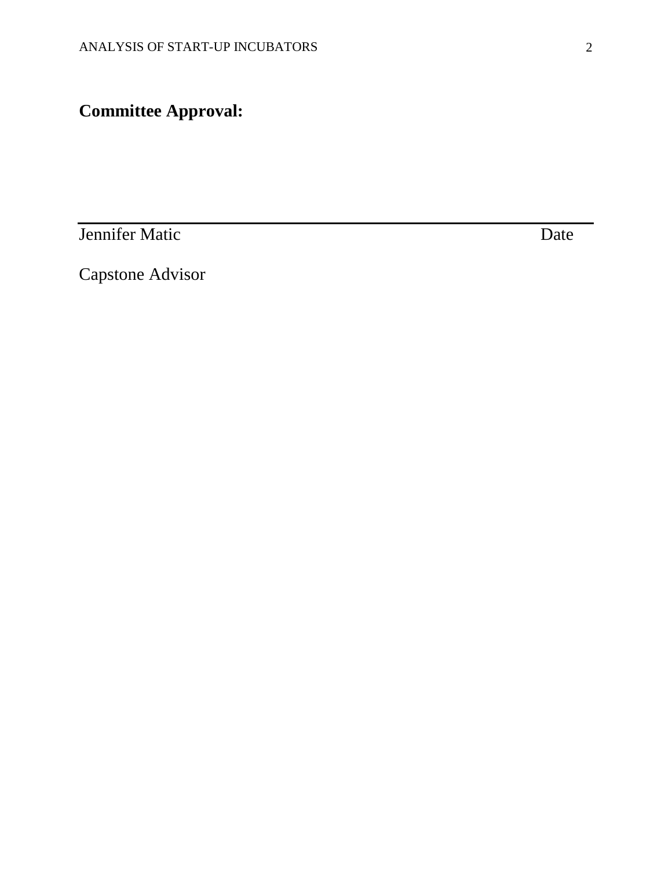# **Committee Approval:**

**Jennifer Matic** Date

Capstone Advisor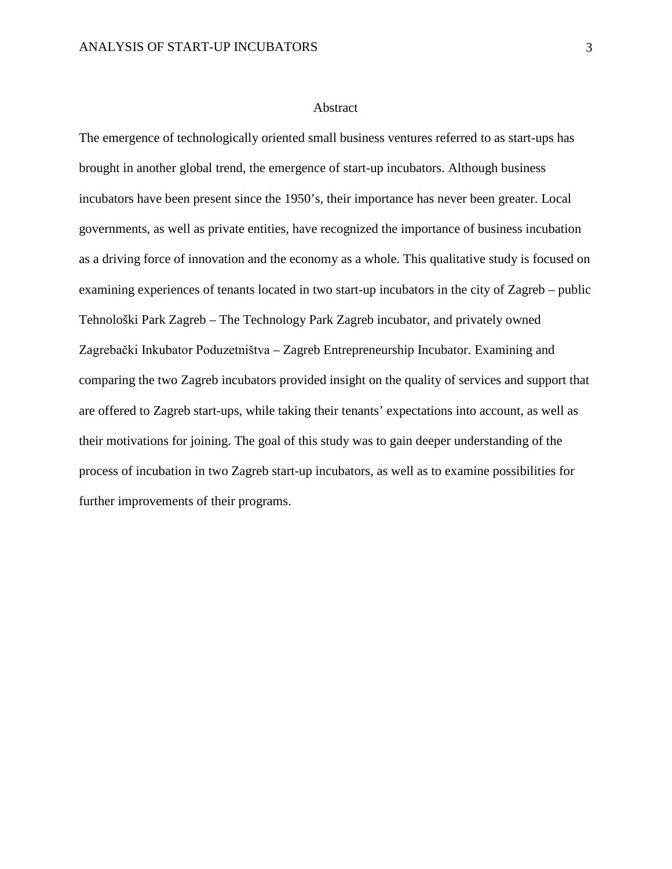#### Abstract

The emergence of technologically oriented small business ventures referred to as start-ups has brought in another global trend, the emergence of start-up incubators. Although business incubators have been present since the 1950's, their importance has never been greater. Local governments, as well as private entities, have recognized the importance of business incubation as a driving force of innovation and the economy as a whole. This qualitative study is focused on examining experiences of tenants located in two start-up incubators in the city of Zagreb – public Tehnološki Park Zagreb – The Technology Park Zagreb incubator, and privately owned Zagrebački Inkubator Poduzetništva – Zagreb Entrepreneurship Incubator. Examining and comparing the two Zagreb incubators provided insight on the quality of services and support that are offered to Zagreb start-ups, while taking their tenants' expectations into account, as well as their motivations for joining. The goal of this study was to gain deeper understanding of the process of incubation in two Zagreb start-up incubators, as well as to examine possibilities for further improvements of their programs.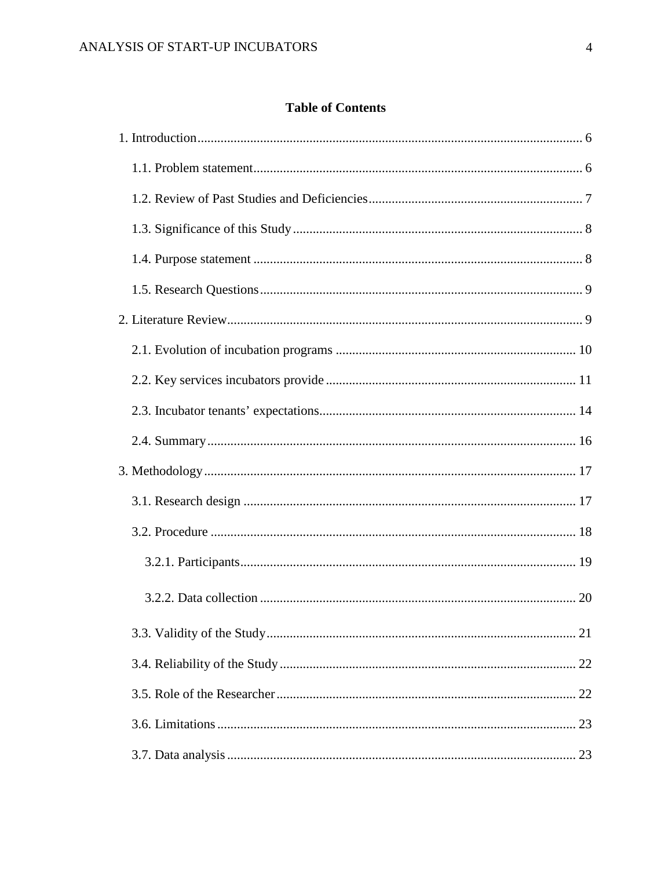### **Table of Contents**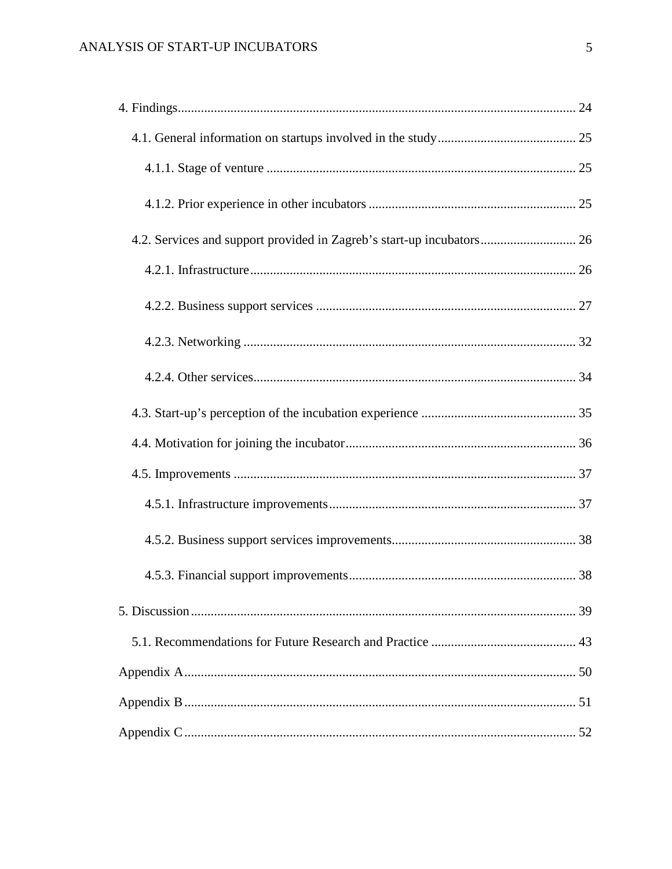| 4.2. Services and support provided in Zagreb's start-up incubators 26 |  |
|-----------------------------------------------------------------------|--|
|                                                                       |  |
|                                                                       |  |
|                                                                       |  |
|                                                                       |  |
|                                                                       |  |
|                                                                       |  |
|                                                                       |  |
|                                                                       |  |
|                                                                       |  |
|                                                                       |  |
|                                                                       |  |
|                                                                       |  |
|                                                                       |  |
|                                                                       |  |
|                                                                       |  |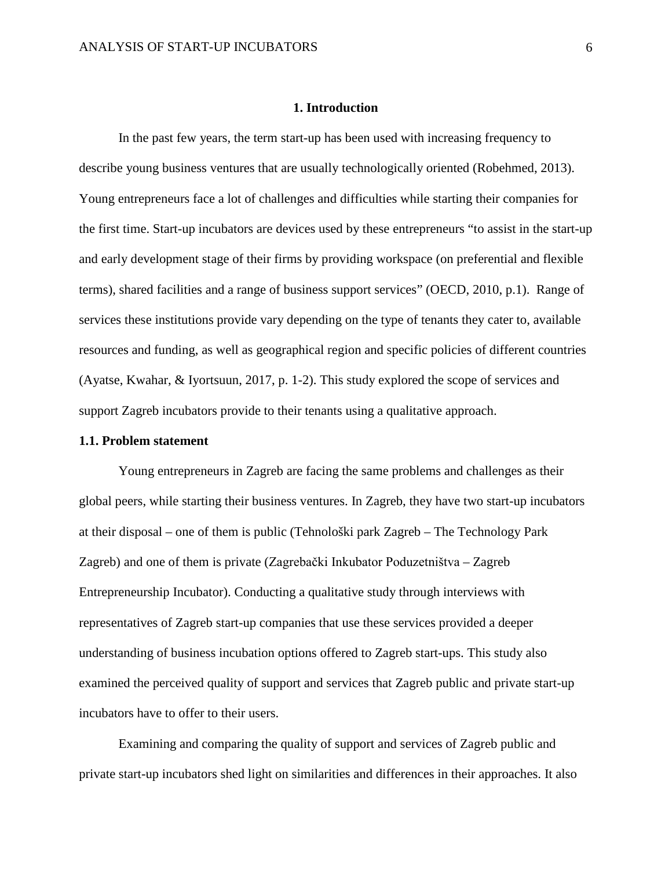#### <span id="page-6-0"></span>**1. Introduction**

In the past few years, the term start-up has been used with increasing frequency to describe young business ventures that are usually technologically oriented (Robehmed, 2013). Young entrepreneurs face a lot of challenges and difficulties while starting their companies for the first time. Start-up incubators are devices used by these entrepreneurs "to assist in the start-up and early development stage of their firms by providing workspace (on preferential and flexible terms), shared facilities and a range of business support services" (OECD, 2010, p.1). Range of services these institutions provide vary depending on the type of tenants they cater to, available resources and funding, as well as geographical region and specific policies of different countries (Ayatse, Kwahar, & Iyortsuun, 2017, p. 1-2). This study explored the scope of services and support Zagreb incubators provide to their tenants using a qualitative approach.

#### <span id="page-6-1"></span>**1.1. Problem statement**

Young entrepreneurs in Zagreb are facing the same problems and challenges as their global peers, while starting their business ventures. In Zagreb, they have two start-up incubators at their disposal – one of them is public (Tehnološki park Zagreb – The Technology Park Zagreb) and one of them is private (Zagrebački Inkubator Poduzetništva – Zagreb Entrepreneurship Incubator). Conducting a qualitative study through interviews with representatives of Zagreb start-up companies that use these services provided a deeper understanding of business incubation options offered to Zagreb start-ups. This study also examined the perceived quality of support and services that Zagreb public and private start-up incubators have to offer to their users.

Examining and comparing the quality of support and services of Zagreb public and private start-up incubators shed light on similarities and differences in their approaches. It also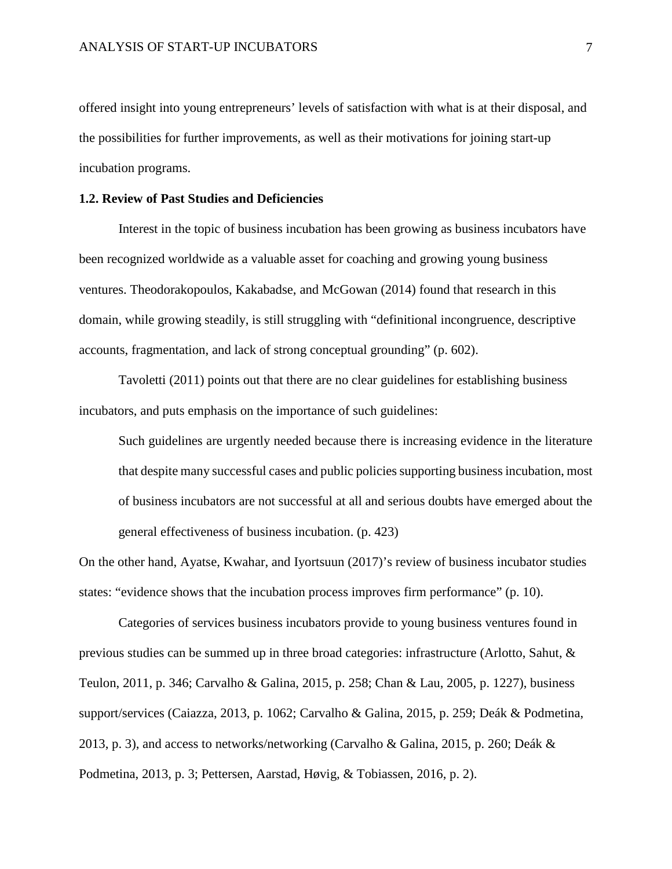offered insight into young entrepreneurs' levels of satisfaction with what is at their disposal, and the possibilities for further improvements, as well as their motivations for joining start-up incubation programs.

#### <span id="page-7-0"></span>**1.2. Review of Past Studies and Deficiencies**

Interest in the topic of business incubation has been growing as business incubators have been recognized worldwide as a valuable asset for coaching and growing young business ventures. Theodorakopoulos, Kakabadse, and McGowan (2014) found that research in this domain, while growing steadily, is still struggling with "definitional incongruence, descriptive accounts, fragmentation, and lack of strong conceptual grounding" (p. 602).

Tavoletti (2011) points out that there are no clear guidelines for establishing business incubators, and puts emphasis on the importance of such guidelines:

Such guidelines are urgently needed because there is increasing evidence in the literature that despite many successful cases and public policies supporting business incubation, most of business incubators are not successful at all and serious doubts have emerged about the general effectiveness of business incubation. (p. 423)

On the other hand, Ayatse, Kwahar, and Iyortsuun (2017)'s review of business incubator studies states: "evidence shows that the incubation process improves firm performance" (p. 10).

Categories of services business incubators provide to young business ventures found in previous studies can be summed up in three broad categories: infrastructure (Arlotto, Sahut, & Teulon, 2011, p. 346; Carvalho & Galina, 2015, p. 258; Chan & Lau, 2005, p. 1227), business support/services (Caiazza, 2013, p. 1062; Carvalho & Galina, 2015, p. 259; Deák & Podmetina, 2013, p. 3), and access to networks/networking (Carvalho & Galina, 2015, p. 260; Deák & Podmetina, 2013, p. 3; Pettersen, Aarstad, Høvig, & Tobiassen, 2016, p. 2).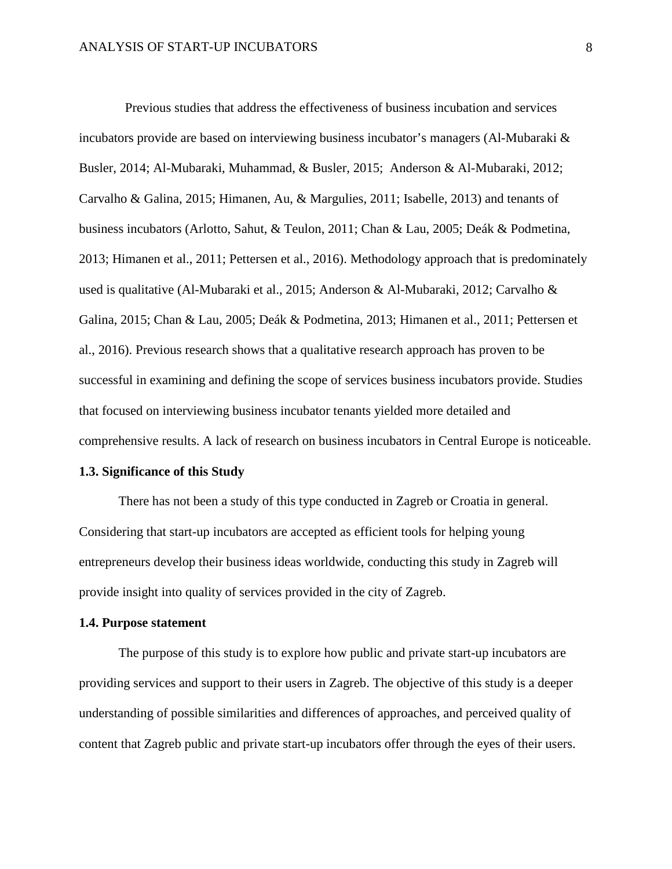Previous studies that address the effectiveness of business incubation and services incubators provide are based on interviewing business incubator's managers (Al-Mubaraki & Busler, 2014; Al-Mubaraki, Muhammad, & Busler, 2015; Anderson & Al-Mubaraki, 2012; Carvalho & Galina, 2015; Himanen, Au, & Margulies, 2011; Isabelle, 2013) and tenants of business incubators (Arlotto, Sahut, & Teulon, 2011; Chan & Lau, 2005; Deák & Podmetina, 2013; Himanen et al., 2011; Pettersen et al., 2016). Methodology approach that is predominately used is qualitative (Al-Mubaraki et al., 2015; Anderson & Al-Mubaraki, 2012; Carvalho & Galina, 2015; Chan & Lau, 2005; Deák & Podmetina, 2013; Himanen et al., 2011; Pettersen et al., 2016). Previous research shows that a qualitative research approach has proven to be successful in examining and defining the scope of services business incubators provide. Studies that focused on interviewing business incubator tenants yielded more detailed and comprehensive results. A lack of research on business incubators in Central Europe is noticeable.

#### <span id="page-8-0"></span>**1.3. Significance of this Study**

There has not been a study of this type conducted in Zagreb or Croatia in general. Considering that start-up incubators are accepted as efficient tools for helping young entrepreneurs develop their business ideas worldwide, conducting this study in Zagreb will provide insight into quality of services provided in the city of Zagreb.

#### <span id="page-8-1"></span>**1.4. Purpose statement**

The purpose of this study is to explore how public and private start-up incubators are providing services and support to their users in Zagreb. The objective of this study is a deeper understanding of possible similarities and differences of approaches, and perceived quality of content that Zagreb public and private start-up incubators offer through the eyes of their users.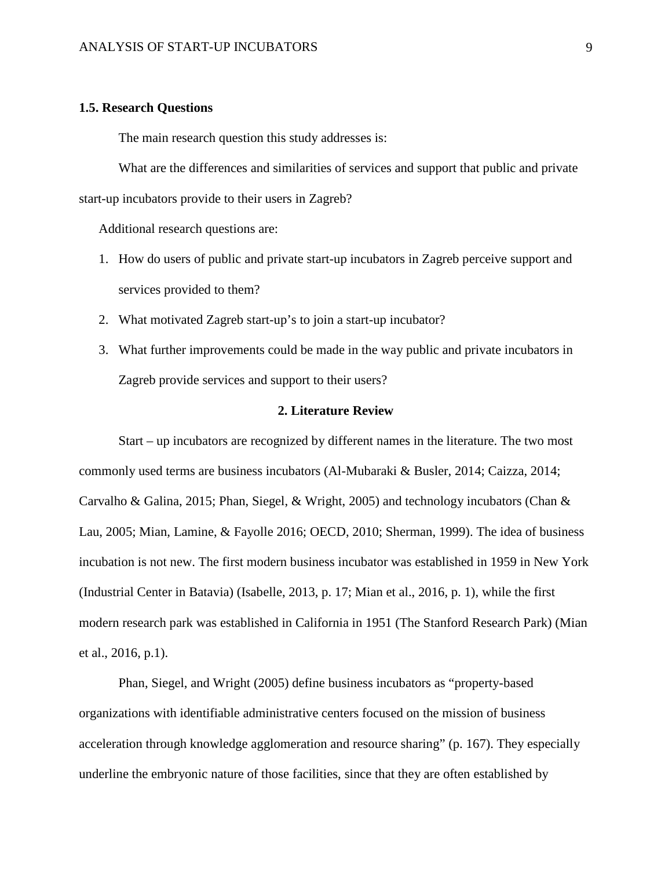#### <span id="page-9-0"></span>**1.5. Research Questions**

The main research question this study addresses is:

What are the differences and similarities of services and support that public and private start-up incubators provide to their users in Zagreb?

Additional research questions are:

- 1. How do users of public and private start-up incubators in Zagreb perceive support and services provided to them?
- 2. What motivated Zagreb start-up's to join a start-up incubator?
- 3. What further improvements could be made in the way public and private incubators in Zagreb provide services and support to their users?

#### **2. Literature Review**

<span id="page-9-1"></span>Start – up incubators are recognized by different names in the literature. The two most commonly used terms are business incubators (Al-Mubaraki & Busler, 2014; Caizza, 2014; Carvalho & Galina, 2015; Phan, Siegel, & Wright, 2005) and technology incubators (Chan & Lau, 2005; Mian, Lamine, & Fayolle 2016; OECD, 2010; Sherman, 1999). The idea of business incubation is not new. The first modern business incubator was established in 1959 in New York (Industrial Center in Batavia) (Isabelle, 2013, p. 17; Mian et al., 2016, p. 1), while the first modern research park was established in California in 1951 (The Stanford Research Park) (Mian et al., 2016, p.1).

Phan, Siegel, and Wright (2005) define business incubators as "property-based organizations with identifiable administrative centers focused on the mission of business acceleration through knowledge agglomeration and resource sharing" (p. 167). They especially underline the embryonic nature of those facilities, since that they are often established by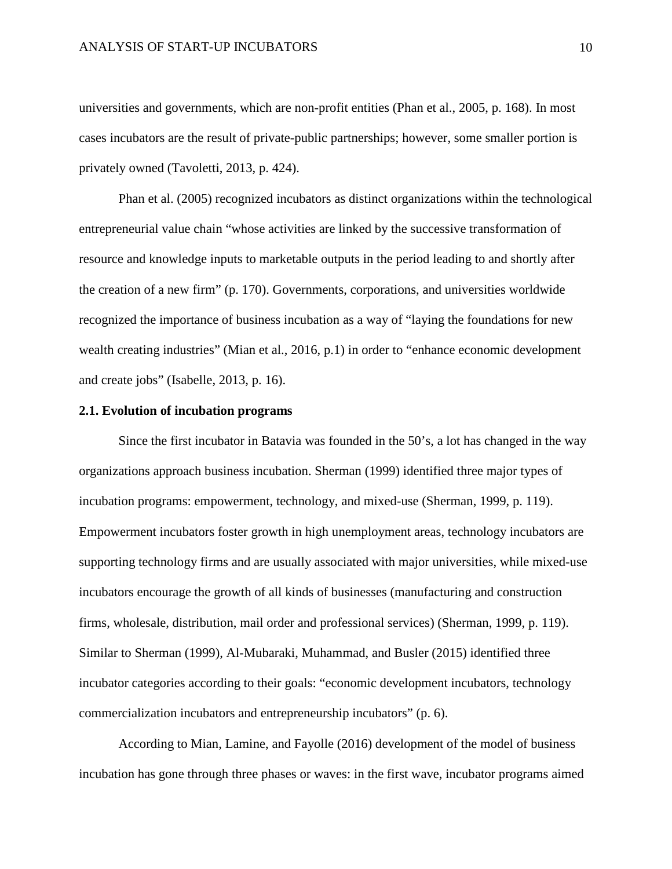universities and governments, which are non-profit entities (Phan et al., 2005, p. 168). In most cases incubators are the result of private-public partnerships; however, some smaller portion is privately owned (Tavoletti, 2013, p. 424).

Phan et al. (2005) recognized incubators as distinct organizations within the technological entrepreneurial value chain "whose activities are linked by the successive transformation of resource and knowledge inputs to marketable outputs in the period leading to and shortly after the creation of a new firm" (p. 170). Governments, corporations, and universities worldwide recognized the importance of business incubation as a way of "laying the foundations for new wealth creating industries" (Mian et al., 2016, p.1) in order to "enhance economic development and create jobs" (Isabelle, 2013, p. 16).

#### <span id="page-10-0"></span>**2.1. Evolution of incubation programs**

Since the first incubator in Batavia was founded in the 50's, a lot has changed in the way organizations approach business incubation. Sherman (1999) identified three major types of incubation programs: empowerment, technology, and mixed-use (Sherman, 1999, p. 119). Empowerment incubators foster growth in high unemployment areas, technology incubators are supporting technology firms and are usually associated with major universities, while mixed-use incubators encourage the growth of all kinds of businesses (manufacturing and construction firms, wholesale, distribution, mail order and professional services) (Sherman, 1999, p. 119). Similar to Sherman (1999), Al-Mubaraki, Muhammad, and Busler (2015) identified three incubator categories according to their goals: "economic development incubators, technology commercialization incubators and entrepreneurship incubators" (p. 6).

According to Mian, Lamine, and Fayolle (2016) development of the model of business incubation has gone through three phases or waves: in the first wave, incubator programs aimed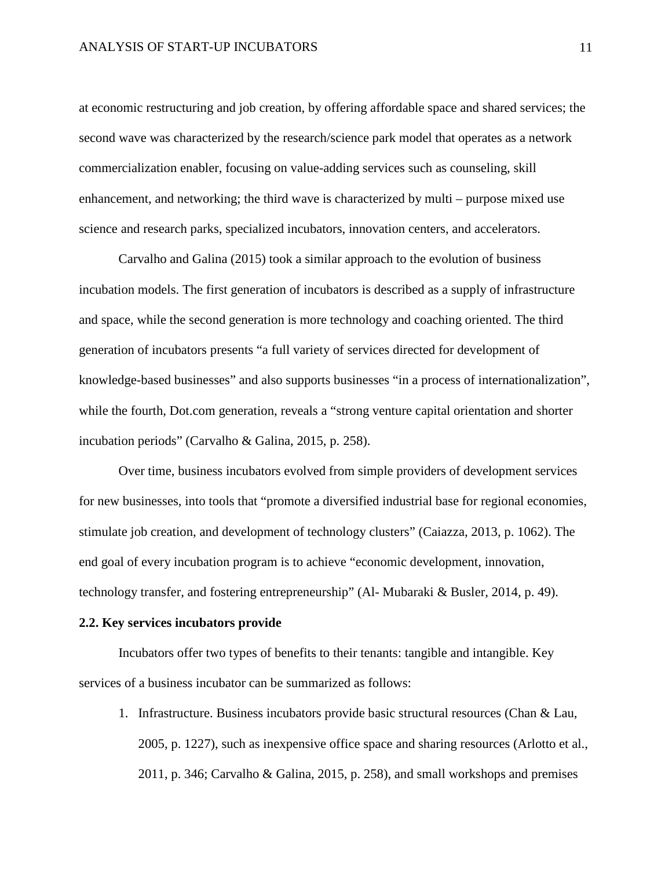at economic restructuring and job creation, by offering affordable space and shared services; the second wave was characterized by the research/science park model that operates as a network commercialization enabler, focusing on value-adding services such as counseling, skill enhancement, and networking; the third wave is characterized by multi – purpose mixed use science and research parks, specialized incubators, innovation centers, and accelerators.

Carvalho and Galina (2015) took a similar approach to the evolution of business incubation models. The first generation of incubators is described as a supply of infrastructure and space, while the second generation is more technology and coaching oriented. The third generation of incubators presents "a full variety of services directed for development of knowledge-based businesses" and also supports businesses "in a process of internationalization", while the fourth, Dot.com generation, reveals a "strong venture capital orientation and shorter incubation periods" (Carvalho & Galina, 2015, p. 258).

Over time, business incubators evolved from simple providers of development services for new businesses, into tools that "promote a diversified industrial base for regional economies, stimulate job creation, and development of technology clusters" (Caiazza, 2013, p. 1062). The end goal of every incubation program is to achieve "economic development, innovation, technology transfer, and fostering entrepreneurship" (Al- Mubaraki & Busler, 2014, p. 49).

#### <span id="page-11-0"></span>**2.2. Key services incubators provide**

Incubators offer two types of benefits to their tenants: tangible and intangible. Key services of a business incubator can be summarized as follows:

1. Infrastructure. Business incubators provide basic structural resources (Chan & Lau, 2005, p. 1227), such as inexpensive office space and sharing resources (Arlotto et al., 2011, p. 346; Carvalho & Galina, 2015, p. 258), and small workshops and premises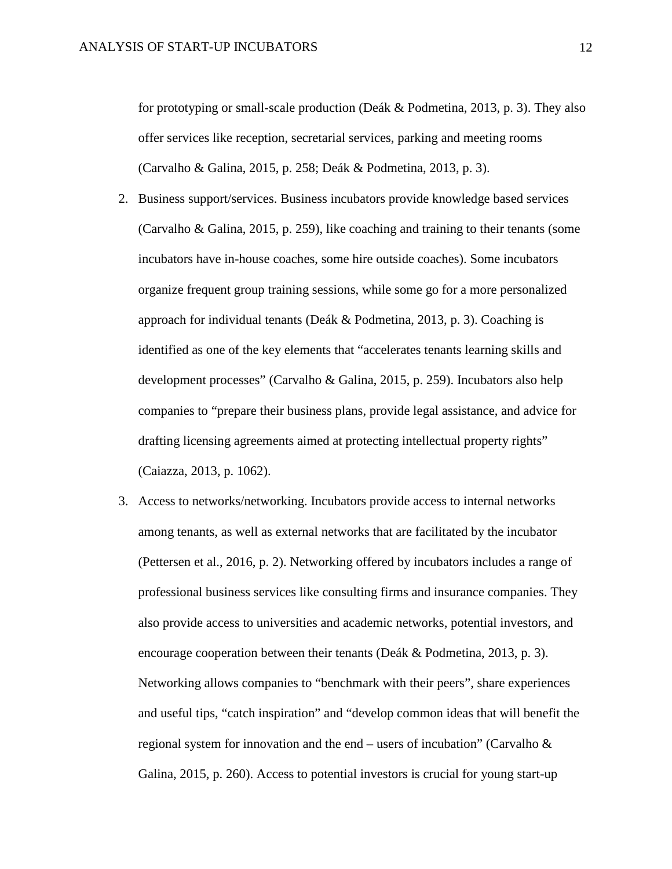for prototyping or small-scale production (Deák & Podmetina, 2013, p. 3). They also offer services like reception, secretarial services, parking and meeting rooms (Carvalho & Galina, 2015, p. 258; Deák & Podmetina, 2013, p. 3).

- 2. Business support/services. Business incubators provide knowledge based services (Carvalho & Galina, 2015, p. 259), like coaching and training to their tenants (some incubators have in-house coaches, some hire outside coaches). Some incubators organize frequent group training sessions, while some go for a more personalized approach for individual tenants (Deák & Podmetina, 2013, p. 3). Coaching is identified as one of the key elements that "accelerates tenants learning skills and development processes" (Carvalho & Galina, 2015, p. 259). Incubators also help companies to "prepare their business plans, provide legal assistance, and advice for drafting licensing agreements aimed at protecting intellectual property rights" (Caiazza, 2013, p. 1062).
- 3. Access to networks/networking. Incubators provide access to internal networks among tenants, as well as external networks that are facilitated by the incubator (Pettersen et al., 2016, p. 2). Networking offered by incubators includes a range of professional business services like consulting firms and insurance companies. They also provide access to universities and academic networks, potential investors, and encourage cooperation between their tenants (Deák & Podmetina, 2013, p. 3). Networking allows companies to "benchmark with their peers", share experiences and useful tips, "catch inspiration" and "develop common ideas that will benefit the regional system for innovation and the end – users of incubation" (Carvalho  $\&$ Galina, 2015, p. 260). Access to potential investors is crucial for young start-up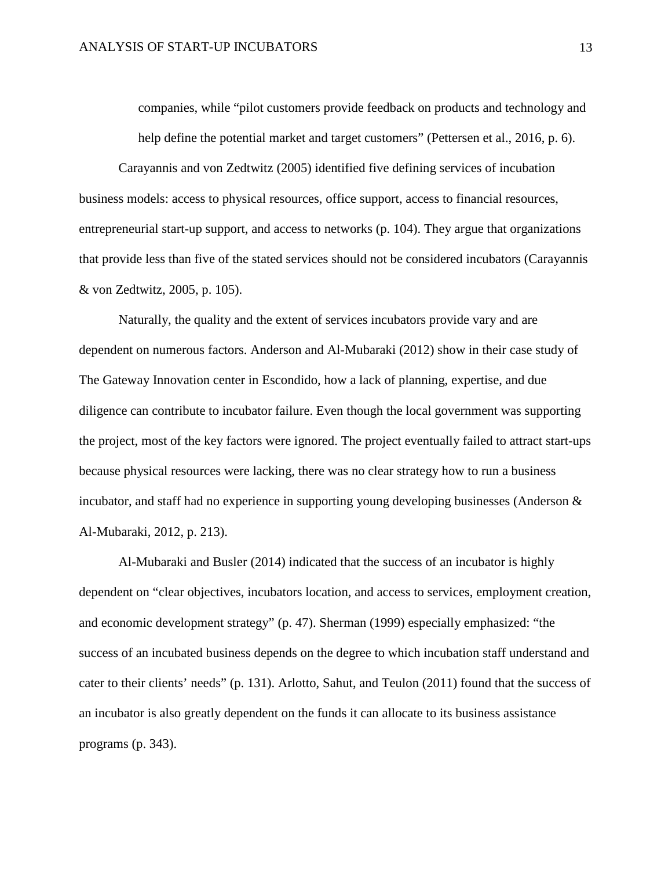companies, while "pilot customers provide feedback on products and technology and help define the potential market and target customers" (Pettersen et al., 2016, p. 6).

Carayannis and von Zedtwitz (2005) identified five defining services of incubation business models: access to physical resources, office support, access to financial resources, entrepreneurial start-up support, and access to networks (p. 104). They argue that organizations that provide less than five of the stated services should not be considered incubators (Carayannis & von Zedtwitz, 2005, p. 105).

Naturally, the quality and the extent of services incubators provide vary and are dependent on numerous factors. Anderson and Al-Mubaraki (2012) show in their case study of The Gateway Innovation center in Escondido, how a lack of planning, expertise, and due diligence can contribute to incubator failure. Even though the local government was supporting the project, most of the key factors were ignored. The project eventually failed to attract start-ups because physical resources were lacking, there was no clear strategy how to run a business incubator, and staff had no experience in supporting young developing businesses (Anderson & Al-Mubaraki, 2012, p. 213).

Al-Mubaraki and Busler (2014) indicated that the success of an incubator is highly dependent on "clear objectives, incubators location, and access to services, employment creation, and economic development strategy" (p. 47). Sherman (1999) especially emphasized: "the success of an incubated business depends on the degree to which incubation staff understand and cater to their clients' needs" (p. 131). Arlotto, Sahut, and Teulon (2011) found that the success of an incubator is also greatly dependent on the funds it can allocate to its business assistance programs (p. 343).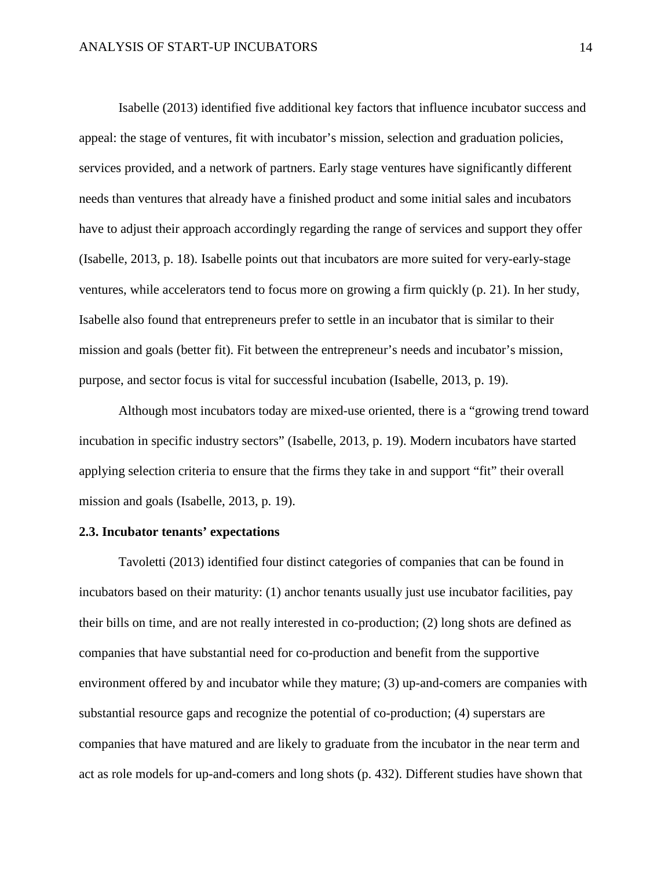Isabelle (2013) identified five additional key factors that influence incubator success and appeal: the stage of ventures, fit with incubator's mission, selection and graduation policies, services provided, and a network of partners. Early stage ventures have significantly different needs than ventures that already have a finished product and some initial sales and incubators have to adjust their approach accordingly regarding the range of services and support they offer (Isabelle, 2013, p. 18). Isabelle points out that incubators are more suited for very-early-stage ventures, while accelerators tend to focus more on growing a firm quickly (p. 21). In her study, Isabelle also found that entrepreneurs prefer to settle in an incubator that is similar to their mission and goals (better fit). Fit between the entrepreneur's needs and incubator's mission, purpose, and sector focus is vital for successful incubation (Isabelle, 2013, p. 19).

Although most incubators today are mixed-use oriented, there is a "growing trend toward incubation in specific industry sectors" (Isabelle, 2013, p. 19). Modern incubators have started applying selection criteria to ensure that the firms they take in and support "fit" their overall mission and goals (Isabelle, 2013, p. 19).

#### <span id="page-14-0"></span>**2.3. Incubator tenants' expectations**

Tavoletti (2013) identified four distinct categories of companies that can be found in incubators based on their maturity: (1) anchor tenants usually just use incubator facilities, pay their bills on time, and are not really interested in co-production; (2) long shots are defined as companies that have substantial need for co-production and benefit from the supportive environment offered by and incubator while they mature; (3) up-and-comers are companies with substantial resource gaps and recognize the potential of co-production; (4) superstars are companies that have matured and are likely to graduate from the incubator in the near term and act as role models for up-and-comers and long shots (p. 432). Different studies have shown that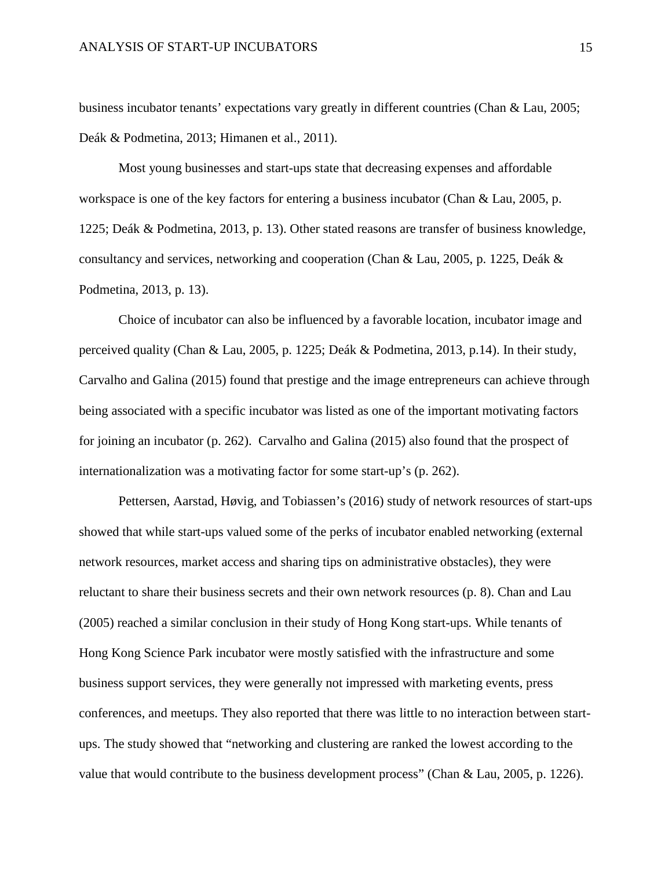business incubator tenants' expectations vary greatly in different countries (Chan & Lau, 2005; Deák & Podmetina, 2013; Himanen et al., 2011).

Most young businesses and start-ups state that decreasing expenses and affordable workspace is one of the key factors for entering a business incubator (Chan & Lau, 2005, p. 1225; Deák & Podmetina, 2013, p. 13). Other stated reasons are transfer of business knowledge, consultancy and services, networking and cooperation (Chan & Lau, 2005, p. 1225, Deák & Podmetina, 2013, p. 13).

Choice of incubator can also be influenced by a favorable location, incubator image and perceived quality (Chan & Lau, 2005, p. 1225; Deák & Podmetina, 2013, p.14). In their study, Carvalho and Galina (2015) found that prestige and the image entrepreneurs can achieve through being associated with a specific incubator was listed as one of the important motivating factors for joining an incubator (p. 262). Carvalho and Galina (2015) also found that the prospect of internationalization was a motivating factor for some start-up's (p. 262).

Pettersen, Aarstad, Høvig, and Tobiassen's (2016) study of network resources of start-ups showed that while start-ups valued some of the perks of incubator enabled networking (external network resources, market access and sharing tips on administrative obstacles), they were reluctant to share their business secrets and their own network resources (p. 8). Chan and Lau (2005) reached a similar conclusion in their study of Hong Kong start-ups. While tenants of Hong Kong Science Park incubator were mostly satisfied with the infrastructure and some business support services, they were generally not impressed with marketing events, press conferences, and meetups. They also reported that there was little to no interaction between startups. The study showed that "networking and clustering are ranked the lowest according to the value that would contribute to the business development process" (Chan & Lau, 2005, p. 1226).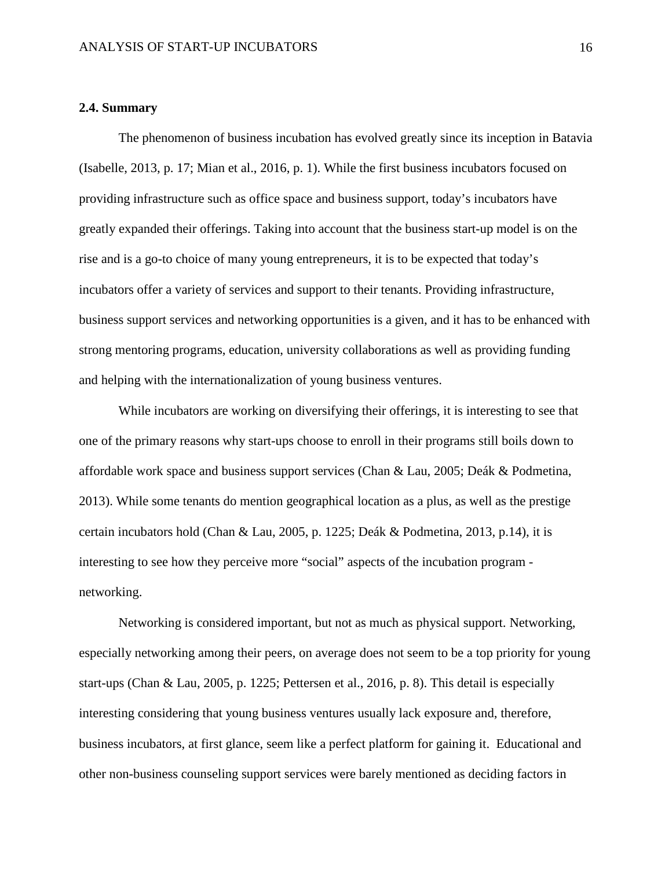#### <span id="page-16-0"></span>**2.4. Summary**

The phenomenon of business incubation has evolved greatly since its inception in Batavia (Isabelle, 2013, p. 17; Mian et al., 2016, p. 1). While the first business incubators focused on providing infrastructure such as office space and business support, today's incubators have greatly expanded their offerings. Taking into account that the business start-up model is on the rise and is a go-to choice of many young entrepreneurs, it is to be expected that today's incubators offer a variety of services and support to their tenants. Providing infrastructure, business support services and networking opportunities is a given, and it has to be enhanced with strong mentoring programs, education, university collaborations as well as providing funding and helping with the internationalization of young business ventures.

While incubators are working on diversifying their offerings, it is interesting to see that one of the primary reasons why start-ups choose to enroll in their programs still boils down to affordable work space and business support services (Chan & Lau, 2005; Deák & Podmetina, 2013). While some tenants do mention geographical location as a plus, as well as the prestige certain incubators hold (Chan & Lau, 2005, p. 1225; Deák & Podmetina, 2013, p.14), it is interesting to see how they perceive more "social" aspects of the incubation program networking.

Networking is considered important, but not as much as physical support. Networking, especially networking among their peers, on average does not seem to be a top priority for young start-ups (Chan & Lau, 2005, p. 1225; Pettersen et al., 2016, p. 8). This detail is especially interesting considering that young business ventures usually lack exposure and, therefore, business incubators, at first glance, seem like a perfect platform for gaining it. Educational and other non-business counseling support services were barely mentioned as deciding factors in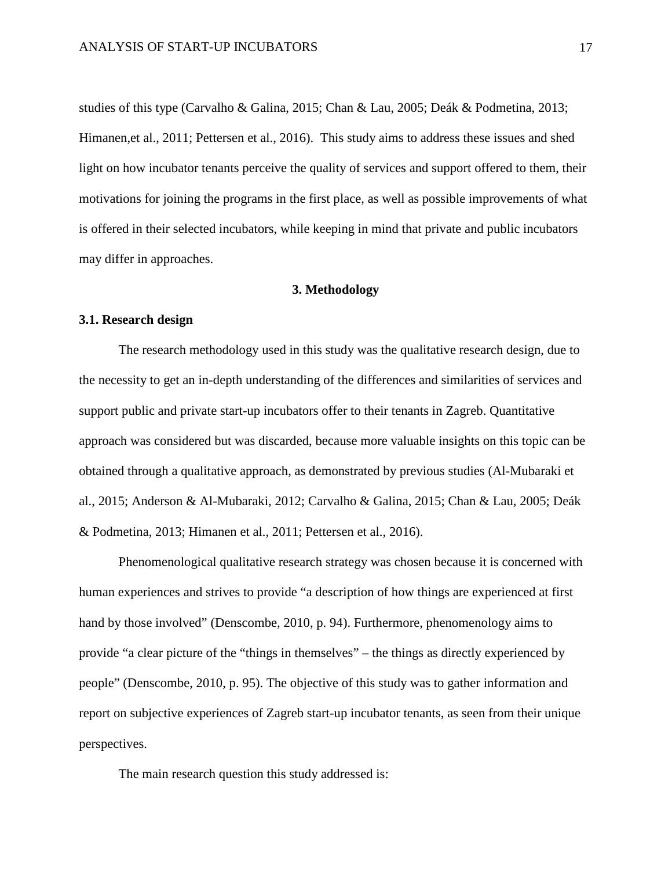studies of this type (Carvalho & Galina, 2015; Chan & Lau, 2005; Deák & Podmetina, 2013; Himanen,et al., 2011; Pettersen et al., 2016). This study aims to address these issues and shed light on how incubator tenants perceive the quality of services and support offered to them, their motivations for joining the programs in the first place, as well as possible improvements of what is offered in their selected incubators, while keeping in mind that private and public incubators may differ in approaches.

#### **3. Methodology**

#### <span id="page-17-1"></span><span id="page-17-0"></span>**3.1. Research design**

The research methodology used in this study was the qualitative research design, due to the necessity to get an in-depth understanding of the differences and similarities of services and support public and private start-up incubators offer to their tenants in Zagreb. Quantitative approach was considered but was discarded, because more valuable insights on this topic can be obtained through a qualitative approach, as demonstrated by previous studies (Al-Mubaraki et al., 2015; Anderson & Al-Mubaraki, 2012; Carvalho & Galina, 2015; Chan & Lau, 2005; Deák & Podmetina, 2013; Himanen et al., 2011; Pettersen et al., 2016).

Phenomenological qualitative research strategy was chosen because it is concerned with human experiences and strives to provide "a description of how things are experienced at first hand by those involved" (Denscombe, 2010, p. 94). Furthermore, phenomenology aims to provide "a clear picture of the "things in themselves" – the things as directly experienced by people" (Denscombe, 2010, p. 95). The objective of this study was to gather information and report on subjective experiences of Zagreb start-up incubator tenants, as seen from their unique perspectives.

The main research question this study addressed is: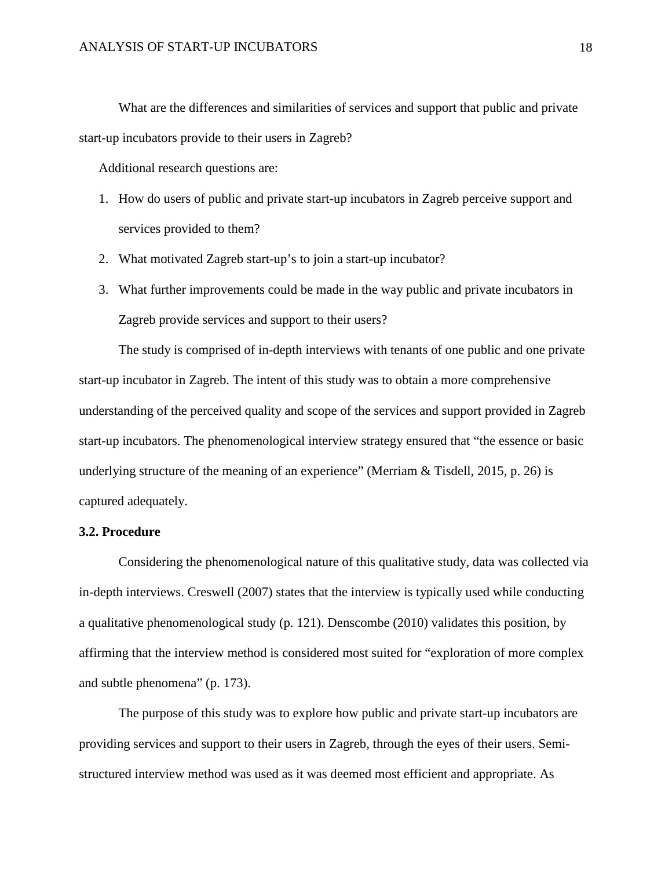What are the differences and similarities of services and support that public and private start-up incubators provide to their users in Zagreb?

Additional research questions are:

- 1. How do users of public and private start-up incubators in Zagreb perceive support and services provided to them?
- 2. What motivated Zagreb start-up's to join a start-up incubator?
- 3. What further improvements could be made in the way public and private incubators in Zagreb provide services and support to their users?

The study is comprised of in-depth interviews with tenants of one public and one private start-up incubator in Zagreb. The intent of this study was to obtain a more comprehensive understanding of the perceived quality and scope of the services and support provided in Zagreb start-up incubators. The phenomenological interview strategy ensured that "the essence or basic underlying structure of the meaning of an experience" (Merriam & Tisdell, 2015, p. 26) is captured adequately.

#### <span id="page-18-0"></span>**3.2. Procedure**

Considering the phenomenological nature of this qualitative study, data was collected via in-depth interviews. Creswell (2007) states that the interview is typically used while conducting a qualitative phenomenological study (p. 121). Denscombe (2010) validates this position, by affirming that the interview method is considered most suited for "exploration of more complex and subtle phenomena" (p. 173).

The purpose of this study was to explore how public and private start-up incubators are providing services and support to their users in Zagreb, through the eyes of their users. Semistructured interview method was used as it was deemed most efficient and appropriate. As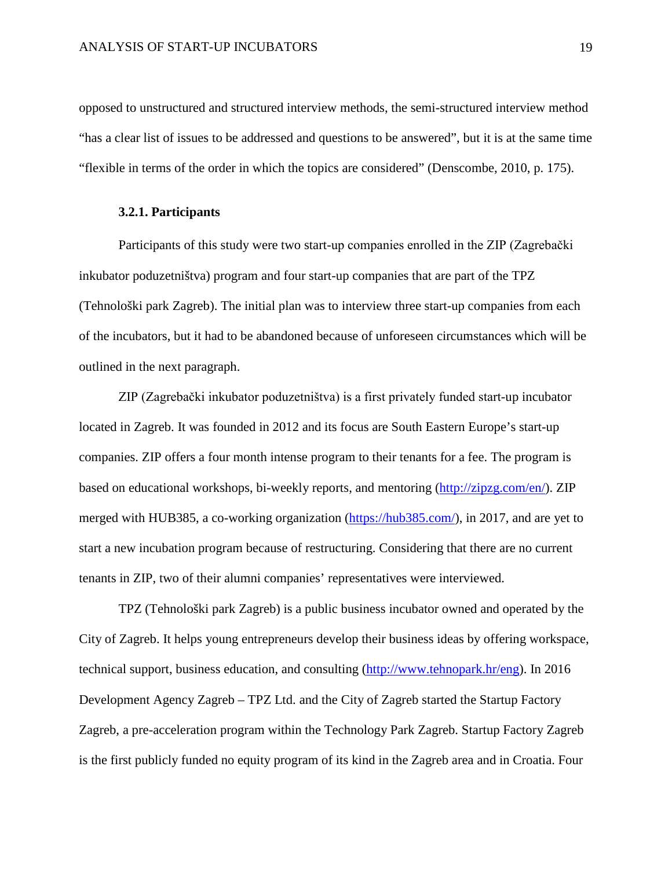opposed to unstructured and structured interview methods, the semi-structured interview method "has a clear list of issues to be addressed and questions to be answered", but it is at the same time "flexible in terms of the order in which the topics are considered" (Denscombe, 2010, p. 175).

#### <span id="page-19-0"></span>**3.2.1. Participants**

Participants of this study were two start-up companies enrolled in the ZIP (Zagrebački inkubator poduzetništva) program and four start-up companies that are part of the TPZ (Tehnološki park Zagreb). The initial plan was to interview three start-up companies from each of the incubators, but it had to be abandoned because of unforeseen circumstances which will be outlined in the next paragraph.

ZIP (Zagrebački inkubator poduzetništva) is a first privately funded start-up incubator located in Zagreb. It was founded in 2012 and its focus are South Eastern Europe's start-up companies. ZIP offers a four month intense program to their tenants for a fee. The program is based on educational workshops, bi-weekly reports, and mentoring [\(http://zipzg.com/en/\)](http://zipzg.com/en/). ZIP merged with HUB385, a co-working organization [\(https://hub385.com/\)](https://hub385.com/), in 2017, and are yet to start a new incubation program because of restructuring. Considering that there are no current tenants in ZIP, two of their alumni companies' representatives were interviewed.

TPZ (Tehnološki park Zagreb) is a public business incubator owned and operated by the City of Zagreb. It helps young entrepreneurs develop their business ideas by offering workspace, technical support, business education, and consulting [\(http://www.tehnopark.hr/eng\)](http://www.tehnopark.hr/eng). In 2016 Development Agency Zagreb – TPZ Ltd. and the City of Zagreb started the Startup Factory Zagreb, a pre-acceleration program within the Technology Park Zagreb. Startup Factory Zagreb is the first publicly funded no equity program of its kind in the Zagreb area and in Croatia. Four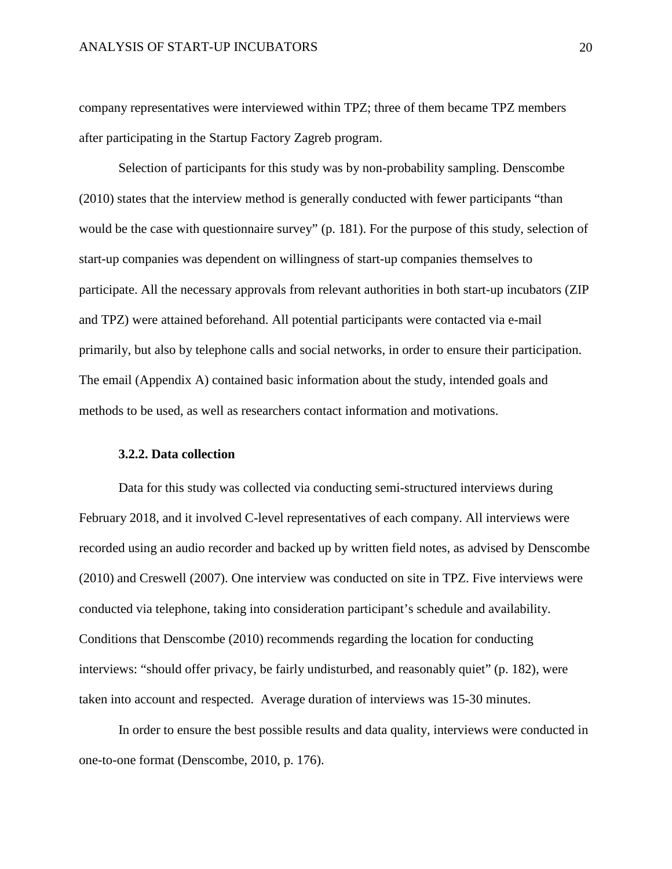company representatives were interviewed within TPZ; three of them became TPZ members after participating in the Startup Factory Zagreb program.

Selection of participants for this study was by non-probability sampling. Denscombe (2010) states that the interview method is generally conducted with fewer participants "than would be the case with questionnaire survey" (p. 181). For the purpose of this study, selection of start-up companies was dependent on willingness of start-up companies themselves to participate. All the necessary approvals from relevant authorities in both start-up incubators (ZIP and TPZ) were attained beforehand. All potential participants were contacted via e-mail primarily, but also by telephone calls and social networks, in order to ensure their participation. The email (Appendix A) contained basic information about the study, intended goals and methods to be used, as well as researchers contact information and motivations.

#### <span id="page-20-0"></span>**3.2.2. Data collection**

Data for this study was collected via conducting semi-structured interviews during February 2018, and it involved C-level representatives of each company. All interviews were recorded using an audio recorder and backed up by written field notes, as advised by Denscombe (2010) and Creswell (2007). One interview was conducted on site in TPZ. Five interviews were conducted via telephone, taking into consideration participant's schedule and availability. Conditions that Denscombe (2010) recommends regarding the location for conducting interviews: "should offer privacy, be fairly undisturbed, and reasonably quiet" (p. 182), were taken into account and respected. Average duration of interviews was 15-30 minutes.

In order to ensure the best possible results and data quality, interviews were conducted in one-to-one format (Denscombe, 2010, p. 176).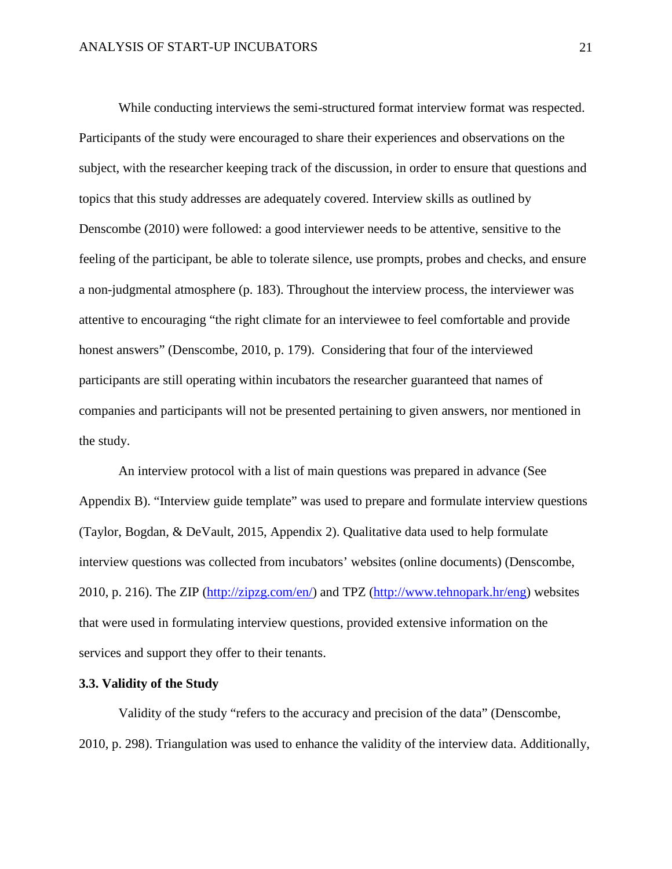While conducting interviews the semi-structured format interview format was respected. Participants of the study were encouraged to share their experiences and observations on the subject, with the researcher keeping track of the discussion, in order to ensure that questions and topics that this study addresses are adequately covered. Interview skills as outlined by Denscombe (2010) were followed: a good interviewer needs to be attentive, sensitive to the feeling of the participant, be able to tolerate silence, use prompts, probes and checks, and ensure a non-judgmental atmosphere (p. 183). Throughout the interview process, the interviewer was attentive to encouraging "the right climate for an interviewee to feel comfortable and provide honest answers" (Denscombe, 2010, p. 179). Considering that four of the interviewed participants are still operating within incubators the researcher guaranteed that names of companies and participants will not be presented pertaining to given answers, nor mentioned in the study.

An interview protocol with a list of main questions was prepared in advance (See Appendix B). "Interview guide template" was used to prepare and formulate interview questions (Taylor, Bogdan, & DeVault, 2015, Appendix 2). Qualitative data used to help formulate interview questions was collected from incubators' websites (online documents) (Denscombe, 2010, p. 216). The ZIP [\(http://zipzg.com/en/\)](http://zipzg.com/en/) and TPZ [\(http://www.tehnopark.hr/eng\)](http://www.tehnopark.hr/eng) websites that were used in formulating interview questions, provided extensive information on the services and support they offer to their tenants.

#### <span id="page-21-0"></span>**3.3. Validity of the Study**

Validity of the study "refers to the accuracy and precision of the data" (Denscombe, 2010, p. 298). Triangulation was used to enhance the validity of the interview data. Additionally,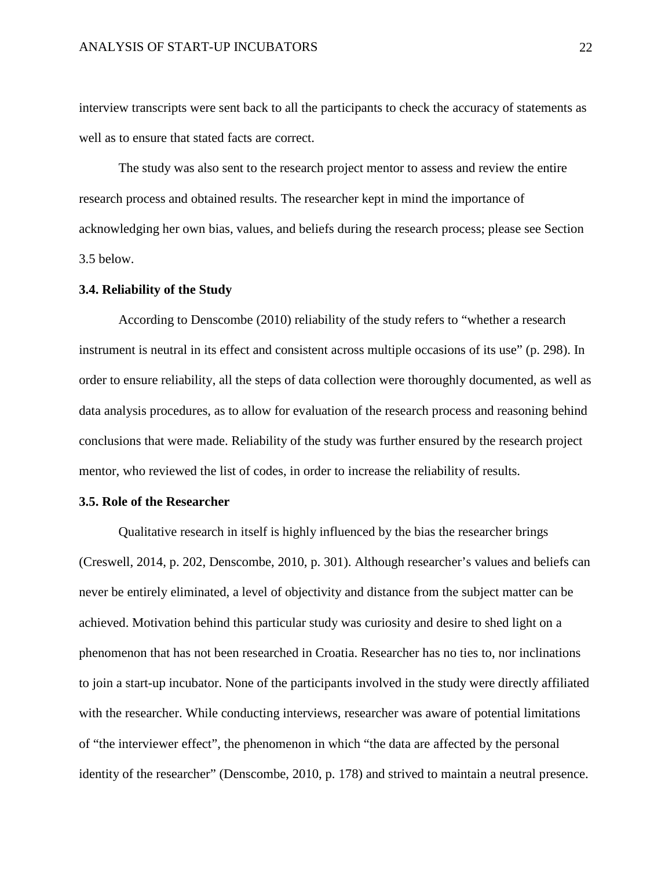interview transcripts were sent back to all the participants to check the accuracy of statements as well as to ensure that stated facts are correct.

The study was also sent to the research project mentor to assess and review the entire research process and obtained results. The researcher kept in mind the importance of acknowledging her own bias, values, and beliefs during the research process; please see Section 3.5 below.

#### <span id="page-22-0"></span>**3.4. Reliability of the Study**

According to Denscombe (2010) reliability of the study refers to "whether a research instrument is neutral in its effect and consistent across multiple occasions of its use" (p. 298). In order to ensure reliability, all the steps of data collection were thoroughly documented, as well as data analysis procedures, as to allow for evaluation of the research process and reasoning behind conclusions that were made. Reliability of the study was further ensured by the research project mentor, who reviewed the list of codes, in order to increase the reliability of results.

#### <span id="page-22-1"></span>**3.5. Role of the Researcher**

Qualitative research in itself is highly influenced by the bias the researcher brings (Creswell, 2014, p. 202, Denscombe, 2010, p. 301). Although researcher's values and beliefs can never be entirely eliminated, a level of objectivity and distance from the subject matter can be achieved. Motivation behind this particular study was curiosity and desire to shed light on a phenomenon that has not been researched in Croatia. Researcher has no ties to, nor inclinations to join a start-up incubator. None of the participants involved in the study were directly affiliated with the researcher. While conducting interviews, researcher was aware of potential limitations of "the interviewer effect", the phenomenon in which "the data are affected by the personal identity of the researcher" (Denscombe, 2010, p. 178) and strived to maintain a neutral presence.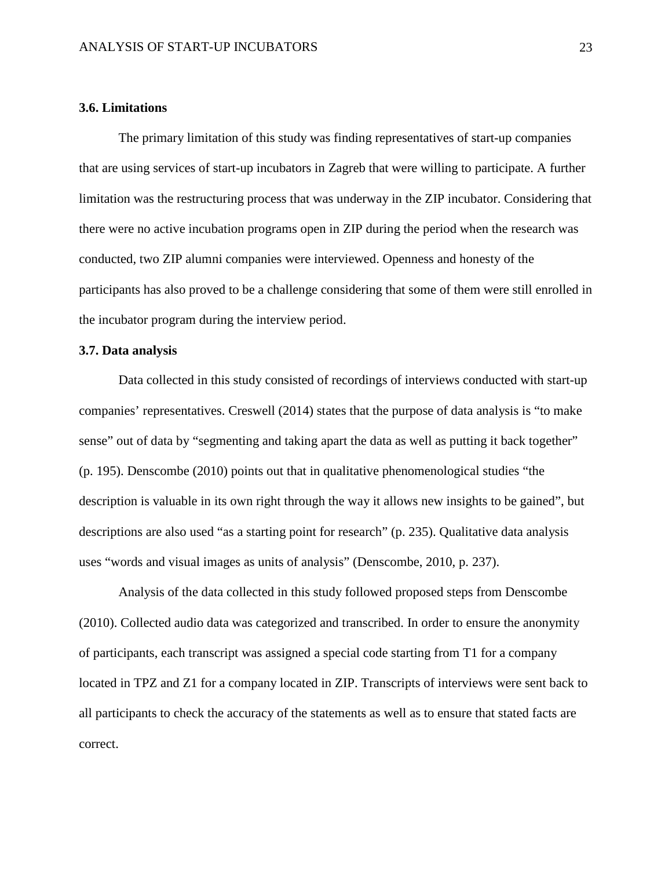#### <span id="page-23-0"></span>**3.6. Limitations**

The primary limitation of this study was finding representatives of start-up companies that are using services of start-up incubators in Zagreb that were willing to participate. A further limitation was the restructuring process that was underway in the ZIP incubator. Considering that there were no active incubation programs open in ZIP during the period when the research was conducted, two ZIP alumni companies were interviewed. Openness and honesty of the participants has also proved to be a challenge considering that some of them were still enrolled in the incubator program during the interview period.

#### <span id="page-23-1"></span>**3.7. Data analysis**

Data collected in this study consisted of recordings of interviews conducted with start-up companies' representatives. Creswell (2014) states that the purpose of data analysis is "to make sense" out of data by "segmenting and taking apart the data as well as putting it back together" (p. 195). Denscombe (2010) points out that in qualitative phenomenological studies "the description is valuable in its own right through the way it allows new insights to be gained", but descriptions are also used "as a starting point for research" (p. 235). Qualitative data analysis uses "words and visual images as units of analysis" (Denscombe, 2010, p. 237).

Analysis of the data collected in this study followed proposed steps from Denscombe (2010). Collected audio data was categorized and transcribed. In order to ensure the anonymity of participants, each transcript was assigned a special code starting from T1 for a company located in TPZ and Z1 for a company located in ZIP. Transcripts of interviews were sent back to all participants to check the accuracy of the statements as well as to ensure that stated facts are correct.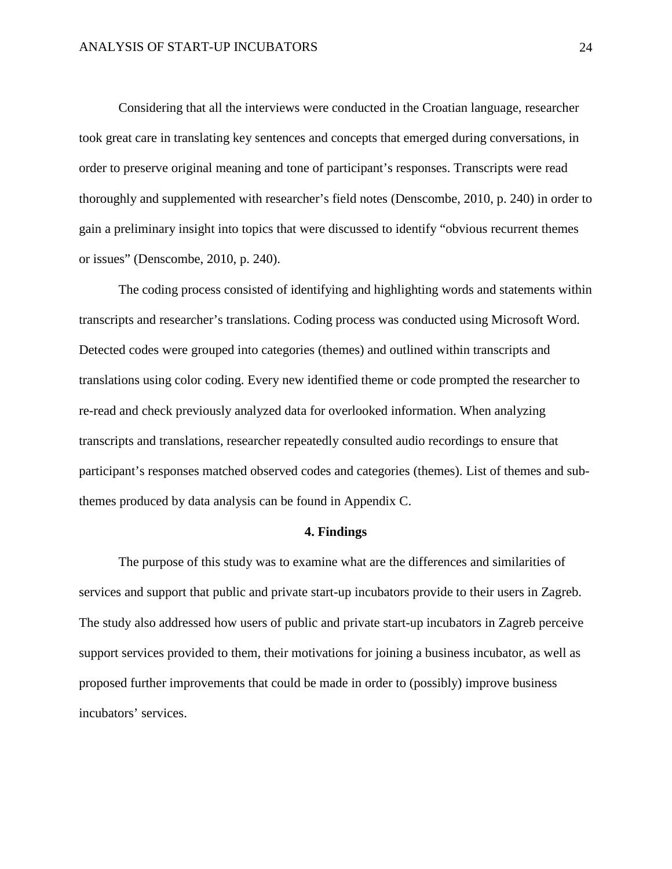Considering that all the interviews were conducted in the Croatian language, researcher took great care in translating key sentences and concepts that emerged during conversations, in order to preserve original meaning and tone of participant's responses. Transcripts were read thoroughly and supplemented with researcher's field notes (Denscombe, 2010, p. 240) in order to gain a preliminary insight into topics that were discussed to identify "obvious recurrent themes or issues" (Denscombe, 2010, p. 240).

The coding process consisted of identifying and highlighting words and statements within transcripts and researcher's translations. Coding process was conducted using Microsoft Word. Detected codes were grouped into categories (themes) and outlined within transcripts and translations using color coding. Every new identified theme or code prompted the researcher to re-read and check previously analyzed data for overlooked information. When analyzing transcripts and translations, researcher repeatedly consulted audio recordings to ensure that participant's responses matched observed codes and categories (themes). List of themes and subthemes produced by data analysis can be found in Appendix C.

#### **4. Findings**

<span id="page-24-0"></span>The purpose of this study was to examine what are the differences and similarities of services and support that public and private start-up incubators provide to their users in Zagreb. The study also addressed how users of public and private start-up incubators in Zagreb perceive support services provided to them, their motivations for joining a business incubator, as well as proposed further improvements that could be made in order to (possibly) improve business incubators' services.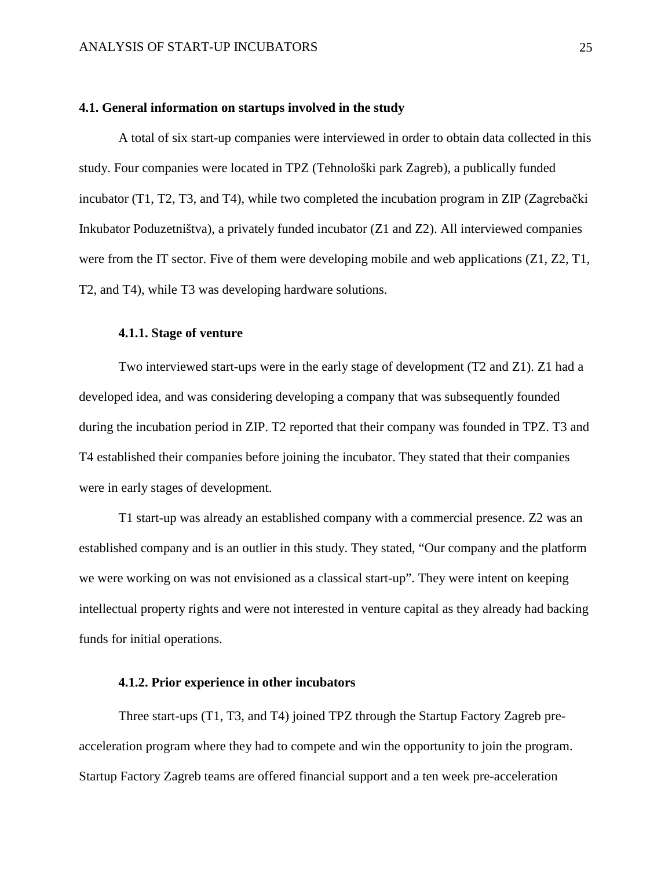#### <span id="page-25-0"></span>**4.1. General information on startups involved in the study**

A total of six start-up companies were interviewed in order to obtain data collected in this study. Four companies were located in TPZ (Tehnološki park Zagreb), a publically funded incubator (T1, T2, T3, and T4), while two completed the incubation program in ZIP (Zagrebački Inkubator Poduzetništva), a privately funded incubator (Z1 and Z2). All interviewed companies were from the IT sector. Five of them were developing mobile and web applications  $(Z1, Z2, T1, T2)$ T2, and T4), while T3 was developing hardware solutions.

#### <span id="page-25-1"></span>**4.1.1. Stage of venture**

Two interviewed start-ups were in the early stage of development (T2 and Z1). Z1 had a developed idea, and was considering developing a company that was subsequently founded during the incubation period in ZIP. T2 reported that their company was founded in TPZ. T3 and T4 established their companies before joining the incubator. They stated that their companies were in early stages of development.

T1 start-up was already an established company with a commercial presence. Z2 was an established company and is an outlier in this study. They stated, "Our company and the platform we were working on was not envisioned as a classical start-up". They were intent on keeping intellectual property rights and were not interested in venture capital as they already had backing funds for initial operations.

#### <span id="page-25-2"></span>**4.1.2. Prior experience in other incubators**

Three start-ups (T1, T3, and T4) joined TPZ through the Startup Factory Zagreb preacceleration program where they had to compete and win the opportunity to join the program. Startup Factory Zagreb teams are offered financial support and a ten week pre-acceleration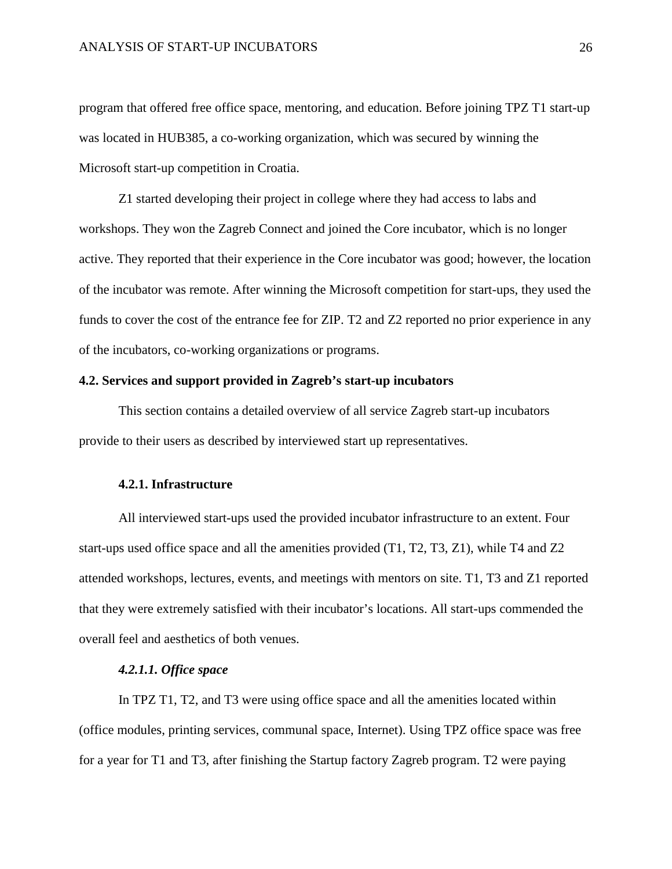program that offered free office space, mentoring, and education. Before joining TPZ T1 start-up was located in HUB385, a co-working organization, which was secured by winning the Microsoft start-up competition in Croatia.

Z1 started developing their project in college where they had access to labs and workshops. They won the Zagreb Connect and joined the Core incubator, which is no longer active. They reported that their experience in the Core incubator was good; however, the location of the incubator was remote. After winning the Microsoft competition for start-ups, they used the funds to cover the cost of the entrance fee for ZIP. T2 and Z2 reported no prior experience in any of the incubators, co-working organizations or programs.

#### <span id="page-26-0"></span>**4.2. Services and support provided in Zagreb's start-up incubators**

This section contains a detailed overview of all service Zagreb start-up incubators provide to their users as described by interviewed start up representatives.

#### <span id="page-26-1"></span>**4.2.1. Infrastructure**

All interviewed start-ups used the provided incubator infrastructure to an extent. Four start-ups used office space and all the amenities provided (T1, T2, T3, Z1), while T4 and Z2 attended workshops, lectures, events, and meetings with mentors on site. T1, T3 and Z1 reported that they were extremely satisfied with their incubator's locations. All start-ups commended the overall feel and aesthetics of both venues.

#### *4.2.1.1. Office space*

In TPZ T1, T2, and T3 were using office space and all the amenities located within (office modules, printing services, communal space, Internet). Using TPZ office space was free for a year for T1 and T3, after finishing the Startup factory Zagreb program. T2 were paying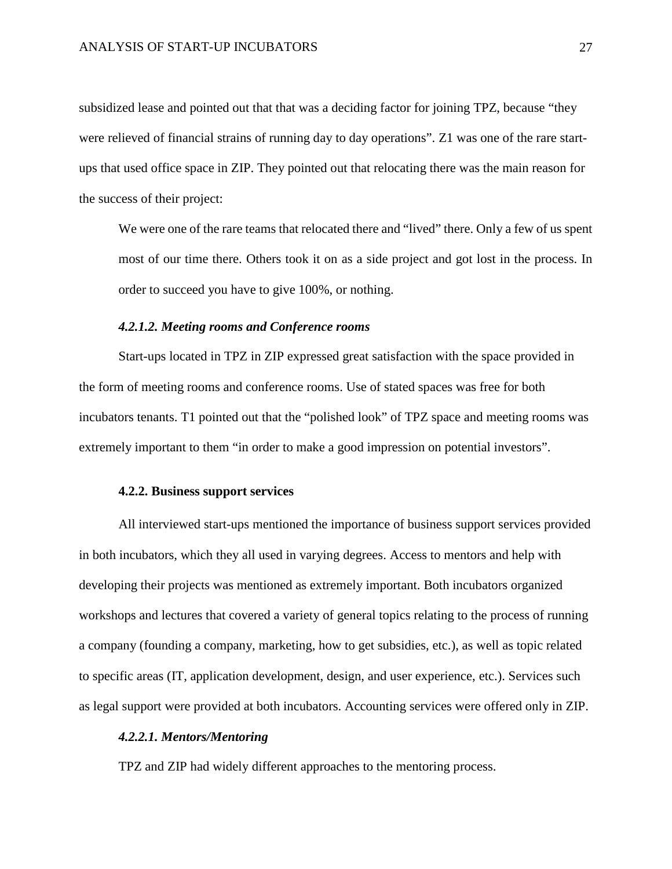subsidized lease and pointed out that that was a deciding factor for joining TPZ, because "they were relieved of financial strains of running day to day operations". Z1 was one of the rare startups that used office space in ZIP. They pointed out that relocating there was the main reason for the success of their project:

We were one of the rare teams that relocated there and "lived" there. Only a few of us spent most of our time there. Others took it on as a side project and got lost in the process. In order to succeed you have to give 100%, or nothing.

#### *4.2.1.2. Meeting rooms and Conference rooms*

Start-ups located in TPZ in ZIP expressed great satisfaction with the space provided in the form of meeting rooms and conference rooms. Use of stated spaces was free for both incubators tenants. T1 pointed out that the "polished look" of TPZ space and meeting rooms was extremely important to them "in order to make a good impression on potential investors".

#### <span id="page-27-0"></span>**4.2.2. Business support services**

All interviewed start-ups mentioned the importance of business support services provided in both incubators, which they all used in varying degrees. Access to mentors and help with developing their projects was mentioned as extremely important. Both incubators organized workshops and lectures that covered a variety of general topics relating to the process of running a company (founding a company, marketing, how to get subsidies, etc.), as well as topic related to specific areas (IT, application development, design, and user experience, etc.). Services such as legal support were provided at both incubators. Accounting services were offered only in ZIP.

#### *4.2.2.1. Mentors/Mentoring*

TPZ and ZIP had widely different approaches to the mentoring process.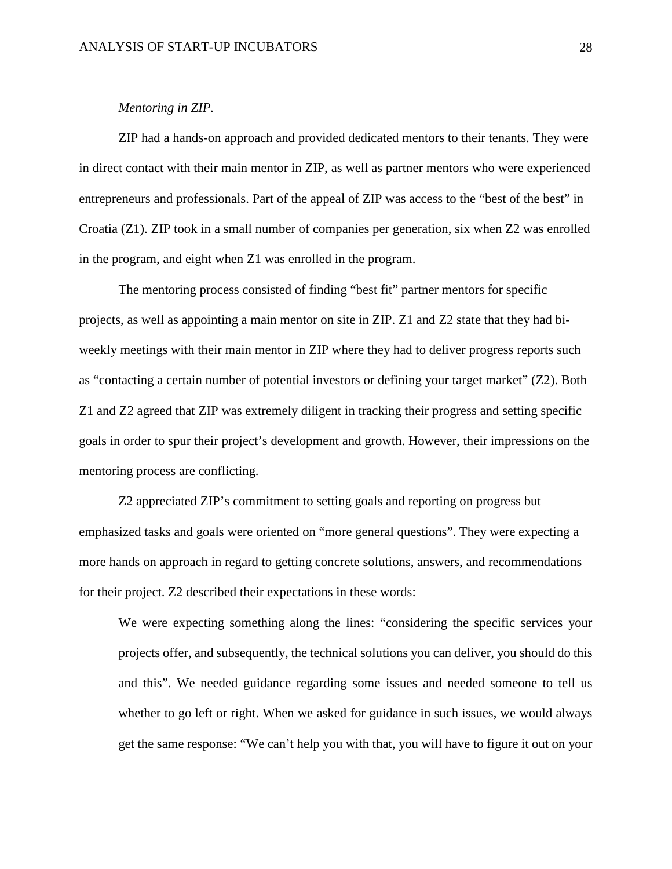#### *Mentoring in ZIP.*

ZIP had a hands-on approach and provided dedicated mentors to their tenants. They were in direct contact with their main mentor in ZIP, as well as partner mentors who were experienced entrepreneurs and professionals. Part of the appeal of ZIP was access to the "best of the best" in Croatia (Z1). ZIP took in a small number of companies per generation, six when Z2 was enrolled in the program, and eight when Z1 was enrolled in the program.

The mentoring process consisted of finding "best fit" partner mentors for specific projects, as well as appointing a main mentor on site in ZIP. Z1 and Z2 state that they had biweekly meetings with their main mentor in ZIP where they had to deliver progress reports such as "contacting a certain number of potential investors or defining your target market" (Z2). Both Z1 and Z2 agreed that ZIP was extremely diligent in tracking their progress and setting specific goals in order to spur their project's development and growth. However, their impressions on the mentoring process are conflicting.

Z2 appreciated ZIP's commitment to setting goals and reporting on progress but emphasized tasks and goals were oriented on "more general questions". They were expecting a more hands on approach in regard to getting concrete solutions, answers, and recommendations for their project. Z2 described their expectations in these words:

We were expecting something along the lines: "considering the specific services your projects offer, and subsequently, the technical solutions you can deliver, you should do this and this". We needed guidance regarding some issues and needed someone to tell us whether to go left or right. When we asked for guidance in such issues, we would always get the same response: "We can't help you with that, you will have to figure it out on your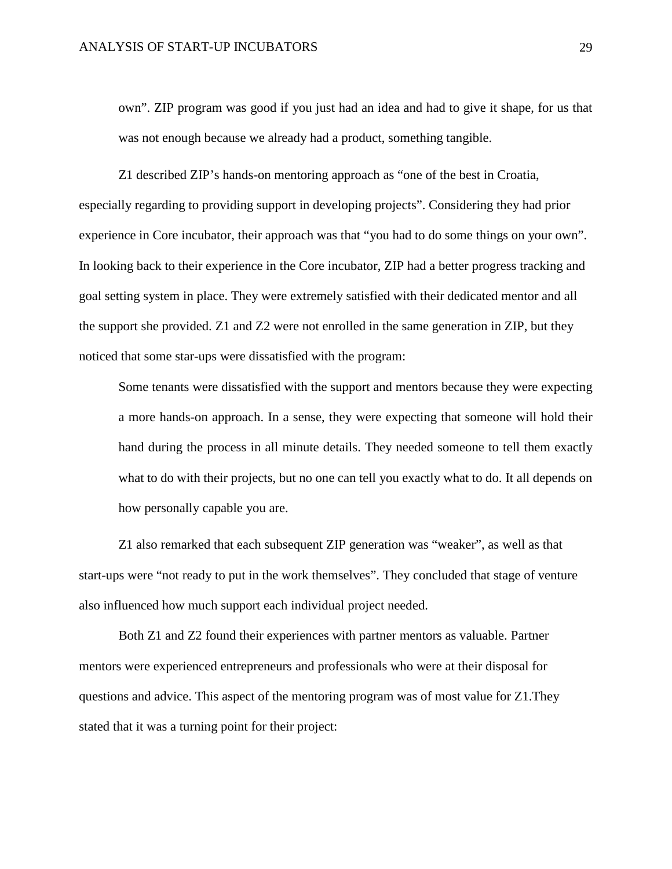own". ZIP program was good if you just had an idea and had to give it shape, for us that was not enough because we already had a product, something tangible.

Z1 described ZIP's hands-on mentoring approach as "one of the best in Croatia, especially regarding to providing support in developing projects". Considering they had prior experience in Core incubator, their approach was that "you had to do some things on your own". In looking back to their experience in the Core incubator, ZIP had a better progress tracking and goal setting system in place. They were extremely satisfied with their dedicated mentor and all the support she provided. Z1 and Z2 were not enrolled in the same generation in ZIP, but they noticed that some star-ups were dissatisfied with the program:

Some tenants were dissatisfied with the support and mentors because they were expecting a more hands-on approach. In a sense, they were expecting that someone will hold their hand during the process in all minute details. They needed someone to tell them exactly what to do with their projects, but no one can tell you exactly what to do. It all depends on how personally capable you are.

Z1 also remarked that each subsequent ZIP generation was "weaker", as well as that start-ups were "not ready to put in the work themselves". They concluded that stage of venture also influenced how much support each individual project needed.

Both Z1 and Z2 found their experiences with partner mentors as valuable. Partner mentors were experienced entrepreneurs and professionals who were at their disposal for questions and advice. This aspect of the mentoring program was of most value for Z1.They stated that it was a turning point for their project: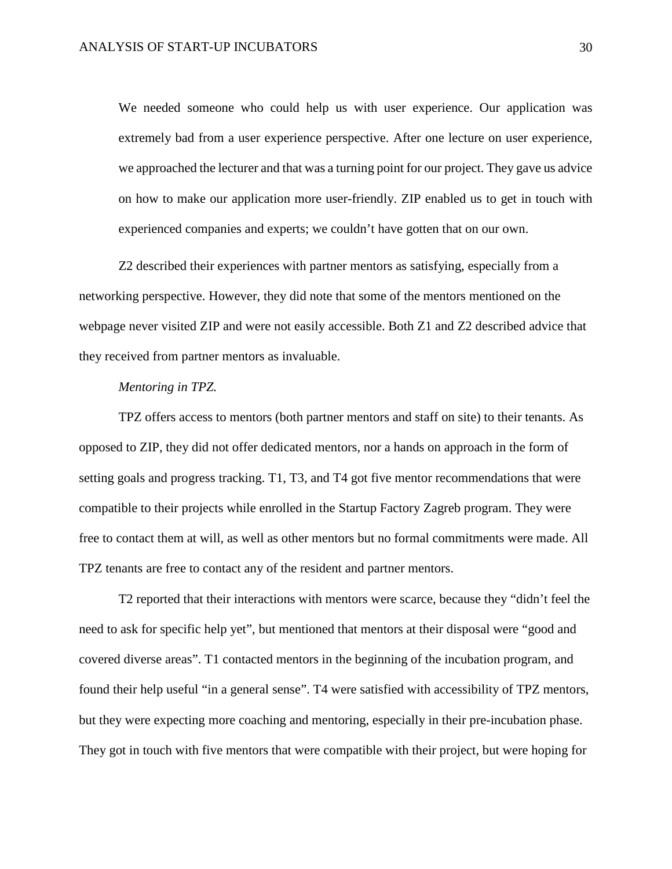We needed someone who could help us with user experience. Our application was extremely bad from a user experience perspective. After one lecture on user experience, we approached the lecturer and that was a turning point for our project. They gave us advice on how to make our application more user-friendly. ZIP enabled us to get in touch with experienced companies and experts; we couldn't have gotten that on our own.

Z2 described their experiences with partner mentors as satisfying, especially from a networking perspective. However, they did note that some of the mentors mentioned on the webpage never visited ZIP and were not easily accessible. Both Z1 and Z2 described advice that they received from partner mentors as invaluable.

#### *Mentoring in TPZ.*

TPZ offers access to mentors (both partner mentors and staff on site) to their tenants. As opposed to ZIP, they did not offer dedicated mentors, nor a hands on approach in the form of setting goals and progress tracking. T1, T3, and T4 got five mentor recommendations that were compatible to their projects while enrolled in the Startup Factory Zagreb program. They were free to contact them at will, as well as other mentors but no formal commitments were made. All TPZ tenants are free to contact any of the resident and partner mentors.

T2 reported that their interactions with mentors were scarce, because they "didn't feel the need to ask for specific help yet", but mentioned that mentors at their disposal were "good and covered diverse areas". T1 contacted mentors in the beginning of the incubation program, and found their help useful "in a general sense". T4 were satisfied with accessibility of TPZ mentors, but they were expecting more coaching and mentoring, especially in their pre-incubation phase. They got in touch with five mentors that were compatible with their project, but were hoping for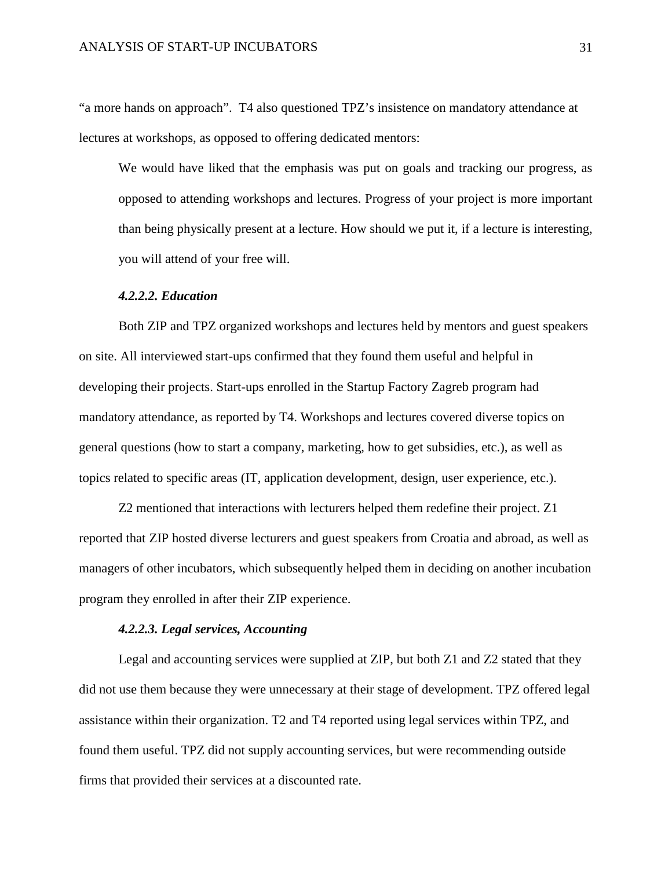"a more hands on approach". T4 also questioned TPZ's insistence on mandatory attendance at lectures at workshops, as opposed to offering dedicated mentors:

We would have liked that the emphasis was put on goals and tracking our progress, as opposed to attending workshops and lectures. Progress of your project is more important than being physically present at a lecture. How should we put it, if a lecture is interesting, you will attend of your free will.

#### *4.2.2.2. Education*

Both ZIP and TPZ organized workshops and lectures held by mentors and guest speakers on site. All interviewed start-ups confirmed that they found them useful and helpful in developing their projects. Start-ups enrolled in the Startup Factory Zagreb program had mandatory attendance, as reported by T4. Workshops and lectures covered diverse topics on general questions (how to start a company, marketing, how to get subsidies, etc.), as well as topics related to specific areas (IT, application development, design, user experience, etc.).

Z2 mentioned that interactions with lecturers helped them redefine their project. Z1 reported that ZIP hosted diverse lecturers and guest speakers from Croatia and abroad, as well as managers of other incubators, which subsequently helped them in deciding on another incubation program they enrolled in after their ZIP experience.

#### *4.2.2.3. Legal services, Accounting*

Legal and accounting services were supplied at ZIP, but both Z1 and Z2 stated that they did not use them because they were unnecessary at their stage of development. TPZ offered legal assistance within their organization. T2 and T4 reported using legal services within TPZ, and found them useful. TPZ did not supply accounting services, but were recommending outside firms that provided their services at a discounted rate.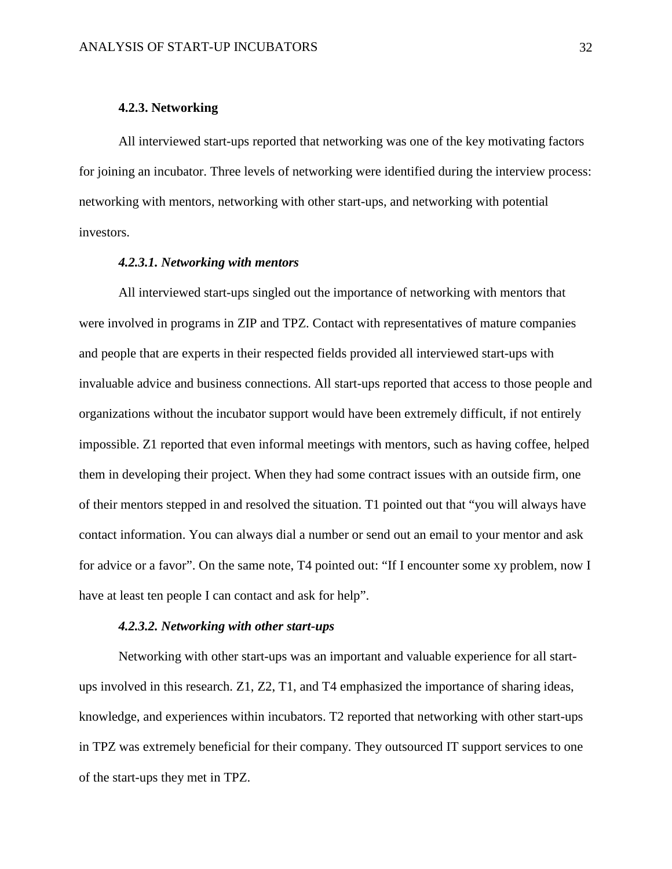#### **4.2.3. Networking**

<span id="page-32-0"></span>All interviewed start-ups reported that networking was one of the key motivating factors for joining an incubator. Three levels of networking were identified during the interview process: networking with mentors, networking with other start-ups, and networking with potential investors.

#### *4.2.3.1. Networking with mentors*

All interviewed start-ups singled out the importance of networking with mentors that were involved in programs in ZIP and TPZ. Contact with representatives of mature companies and people that are experts in their respected fields provided all interviewed start-ups with invaluable advice and business connections. All start-ups reported that access to those people and organizations without the incubator support would have been extremely difficult, if not entirely impossible. Z1 reported that even informal meetings with mentors, such as having coffee, helped them in developing their project. When they had some contract issues with an outside firm, one of their mentors stepped in and resolved the situation. T1 pointed out that "you will always have contact information. You can always dial a number or send out an email to your mentor and ask for advice or a favor". On the same note, T4 pointed out: "If I encounter some xy problem, now I have at least ten people I can contact and ask for help".

#### *4.2.3.2. Networking with other start-ups*

Networking with other start-ups was an important and valuable experience for all startups involved in this research. Z1, Z2, T1, and T4 emphasized the importance of sharing ideas, knowledge, and experiences within incubators. T2 reported that networking with other start-ups in TPZ was extremely beneficial for their company. They outsourced IT support services to one of the start-ups they met in TPZ.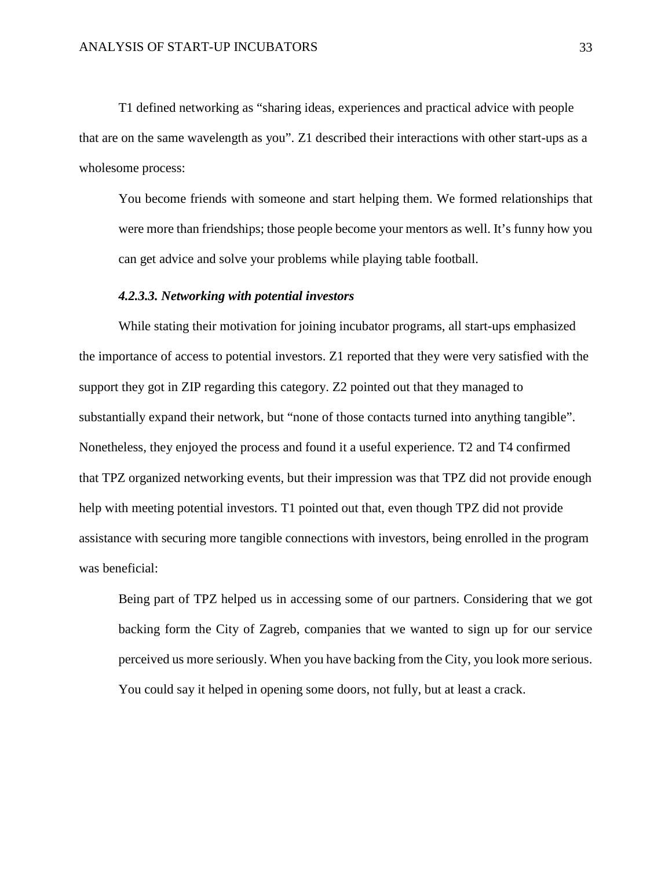T1 defined networking as "sharing ideas, experiences and practical advice with people that are on the same wavelength as you". Z1 described their interactions with other start-ups as a wholesome process:

You become friends with someone and start helping them. We formed relationships that were more than friendships; those people become your mentors as well. It's funny how you can get advice and solve your problems while playing table football.

#### *4.2.3.3. Networking with potential investors*

While stating their motivation for joining incubator programs, all start-ups emphasized the importance of access to potential investors. Z1 reported that they were very satisfied with the support they got in ZIP regarding this category. Z2 pointed out that they managed to substantially expand their network, but "none of those contacts turned into anything tangible". Nonetheless, they enjoyed the process and found it a useful experience. T2 and T4 confirmed that TPZ organized networking events, but their impression was that TPZ did not provide enough help with meeting potential investors. T1 pointed out that, even though TPZ did not provide assistance with securing more tangible connections with investors, being enrolled in the program was beneficial:

Being part of TPZ helped us in accessing some of our partners. Considering that we got backing form the City of Zagreb, companies that we wanted to sign up for our service perceived us more seriously. When you have backing from the City, you look more serious. You could say it helped in opening some doors, not fully, but at least a crack.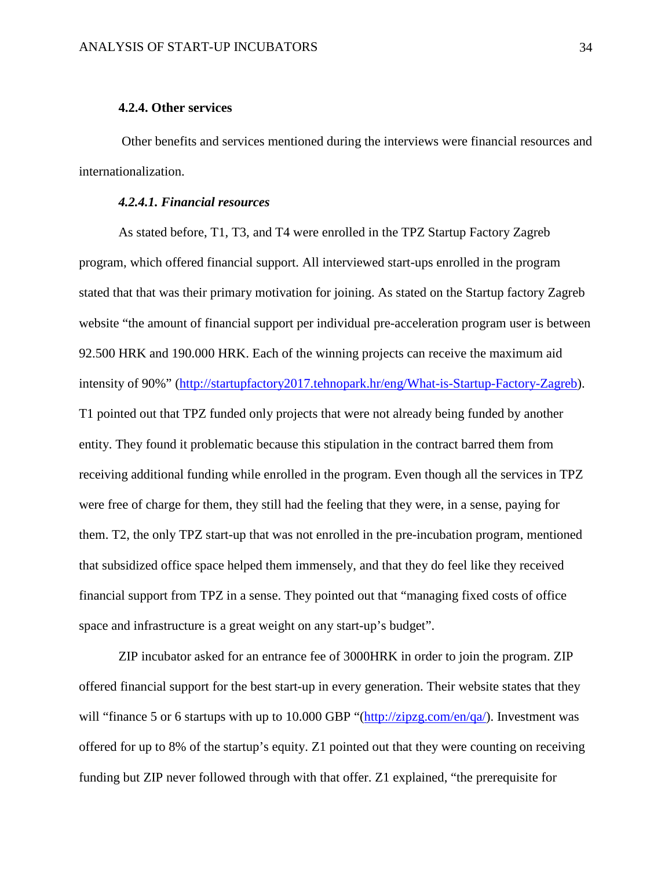#### **4.2.4. Other services**

<span id="page-34-0"></span>Other benefits and services mentioned during the interviews were financial resources and internationalization.

#### *4.2.4.1. Financial resources*

As stated before, T1, T3, and T4 were enrolled in the TPZ Startup Factory Zagreb program, which offered financial support. All interviewed start-ups enrolled in the program stated that that was their primary motivation for joining. As stated on the Startup factory Zagreb website "the amount of financial support per individual pre-acceleration program user is between 92.500 HRK and 190.000 HRK. Each of the winning projects can receive the maximum aid intensity of 90%" [\(http://startupfactory2017.tehnopark.hr/eng/What-is-Startup-Factory-Zagreb\)](http://startupfactory2017.tehnopark.hr/eng/What-is-Startup-Factory-Zagreb). T1 pointed out that TPZ funded only projects that were not already being funded by another entity. They found it problematic because this stipulation in the contract barred them from receiving additional funding while enrolled in the program. Even though all the services in TPZ were free of charge for them, they still had the feeling that they were, in a sense, paying for them. T2, the only TPZ start-up that was not enrolled in the pre-incubation program, mentioned that subsidized office space helped them immensely, and that they do feel like they received financial support from TPZ in a sense. They pointed out that "managing fixed costs of office space and infrastructure is a great weight on any start-up's budget".

ZIP incubator asked for an entrance fee of 3000HRK in order to join the program. ZIP offered financial support for the best start-up in every generation. Their website states that they will "finance 5 or 6 startups with up to 10.000 GBP "[\(http://zipzg.com/en/qa/\)](http://zipzg.com/en/qa/). Investment was offered for up to 8% of the startup's equity. Z1 pointed out that they were counting on receiving funding but ZIP never followed through with that offer. Z1 explained, "the prerequisite for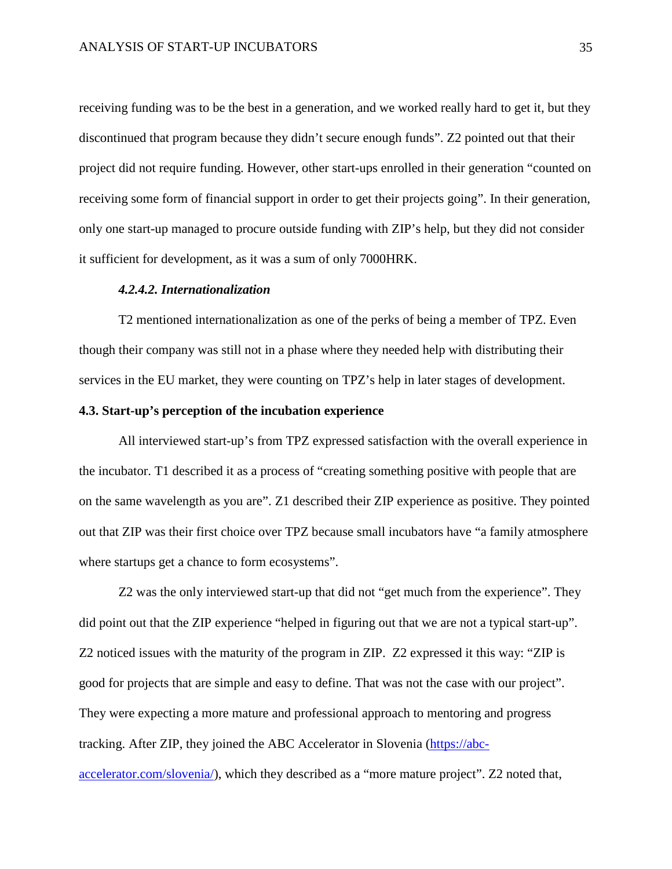receiving funding was to be the best in a generation, and we worked really hard to get it, but they discontinued that program because they didn't secure enough funds". Z2 pointed out that their project did not require funding. However, other start-ups enrolled in their generation "counted on receiving some form of financial support in order to get their projects going". In their generation, only one start-up managed to procure outside funding with ZIP's help, but they did not consider it sufficient for development, as it was a sum of only 7000HRK.

#### *4.2.4.2. Internationalization*

T2 mentioned internationalization as one of the perks of being a member of TPZ. Even though their company was still not in a phase where they needed help with distributing their services in the EU market, they were counting on TPZ's help in later stages of development.

#### <span id="page-35-0"></span>**4.3. Start-up's perception of the incubation experience**

All interviewed start-up's from TPZ expressed satisfaction with the overall experience in the incubator. T1 described it as a process of "creating something positive with people that are on the same wavelength as you are". Z1 described their ZIP experience as positive. They pointed out that ZIP was their first choice over TPZ because small incubators have "a family atmosphere where startups get a chance to form ecosystems".

Z2 was the only interviewed start-up that did not "get much from the experience". They did point out that the ZIP experience "helped in figuring out that we are not a typical start-up". Z2 noticed issues with the maturity of the program in ZIP. Z2 expressed it this way: "ZIP is good for projects that are simple and easy to define. That was not the case with our project". They were expecting a more mature and professional approach to mentoring and progress tracking. After ZIP, they joined the ABC Accelerator in Slovenia [\(https://abc-](https://abc-accelerator.com/slovenia/)

[accelerator.com/slovenia/\)](https://abc-accelerator.com/slovenia/), which they described as a "more mature project". Z2 noted that,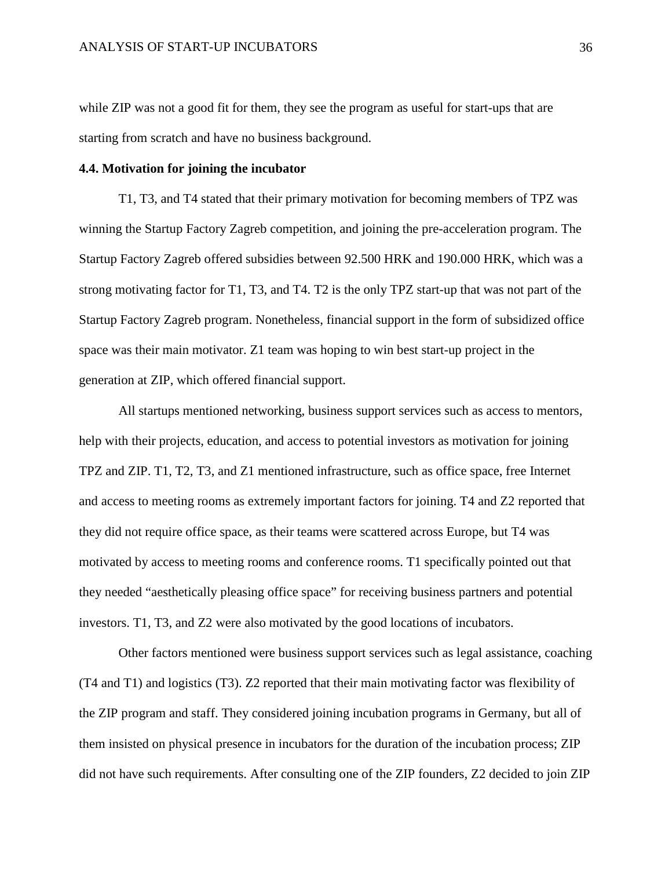while ZIP was not a good fit for them, they see the program as useful for start-ups that are starting from scratch and have no business background.

#### <span id="page-36-0"></span>**4.4. Motivation for joining the incubator**

T1, T3, and T4 stated that their primary motivation for becoming members of TPZ was winning the Startup Factory Zagreb competition, and joining the pre-acceleration program. The Startup Factory Zagreb offered subsidies between 92.500 HRK and 190.000 HRK, which was a strong motivating factor for T1, T3, and T4. T2 is the only TPZ start-up that was not part of the Startup Factory Zagreb program. Nonetheless, financial support in the form of subsidized office space was their main motivator. Z1 team was hoping to win best start-up project in the generation at ZIP, which offered financial support.

All startups mentioned networking, business support services such as access to mentors, help with their projects, education, and access to potential investors as motivation for joining TPZ and ZIP. T1, T2, T3, and Z1 mentioned infrastructure, such as office space, free Internet and access to meeting rooms as extremely important factors for joining. T4 and Z2 reported that they did not require office space, as their teams were scattered across Europe, but T4 was motivated by access to meeting rooms and conference rooms. T1 specifically pointed out that they needed "aesthetically pleasing office space" for receiving business partners and potential investors. T1, T3, and Z2 were also motivated by the good locations of incubators.

Other factors mentioned were business support services such as legal assistance, coaching (T4 and T1) and logistics (T3). Z2 reported that their main motivating factor was flexibility of the ZIP program and staff. They considered joining incubation programs in Germany, but all of them insisted on physical presence in incubators for the duration of the incubation process; ZIP did not have such requirements. After consulting one of the ZIP founders, Z2 decided to join ZIP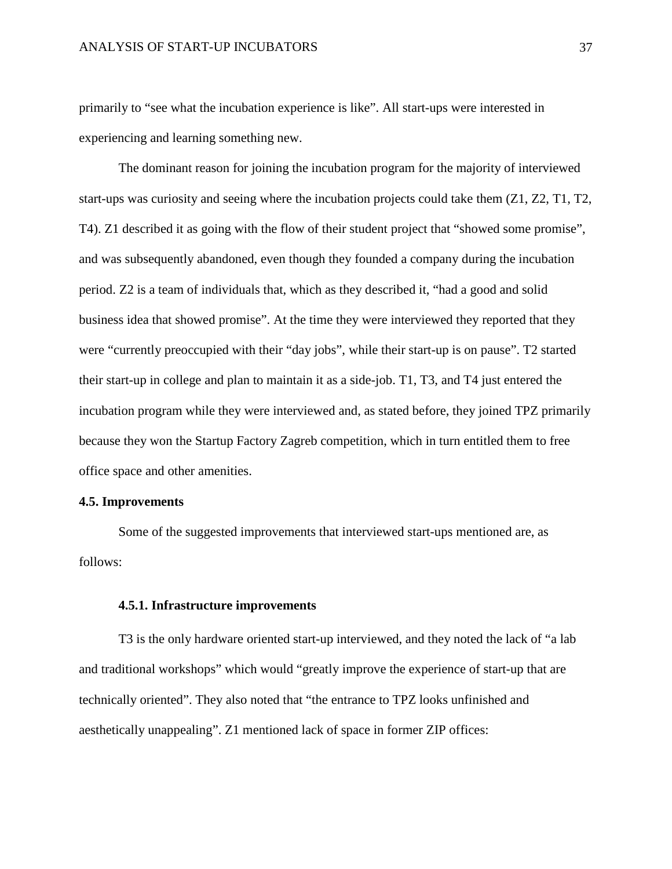primarily to "see what the incubation experience is like". All start-ups were interested in experiencing and learning something new.

The dominant reason for joining the incubation program for the majority of interviewed start-ups was curiosity and seeing where the incubation projects could take them (Z1, Z2, T1, T2, T4). Z1 described it as going with the flow of their student project that "showed some promise", and was subsequently abandoned, even though they founded a company during the incubation period. Z2 is a team of individuals that, which as they described it, "had a good and solid business idea that showed promise". At the time they were interviewed they reported that they were "currently preoccupied with their "day jobs", while their start-up is on pause". T2 started their start-up in college and plan to maintain it as a side-job. T1, T3, and T4 just entered the incubation program while they were interviewed and, as stated before, they joined TPZ primarily because they won the Startup Factory Zagreb competition, which in turn entitled them to free office space and other amenities.

#### <span id="page-37-0"></span>**4.5. Improvements**

Some of the suggested improvements that interviewed start-ups mentioned are, as follows:

#### <span id="page-37-1"></span>**4.5.1. Infrastructure improvements**

T3 is the only hardware oriented start-up interviewed, and they noted the lack of "a lab and traditional workshops" which would "greatly improve the experience of start-up that are technically oriented". They also noted that "the entrance to TPZ looks unfinished and aesthetically unappealing". Z1 mentioned lack of space in former ZIP offices: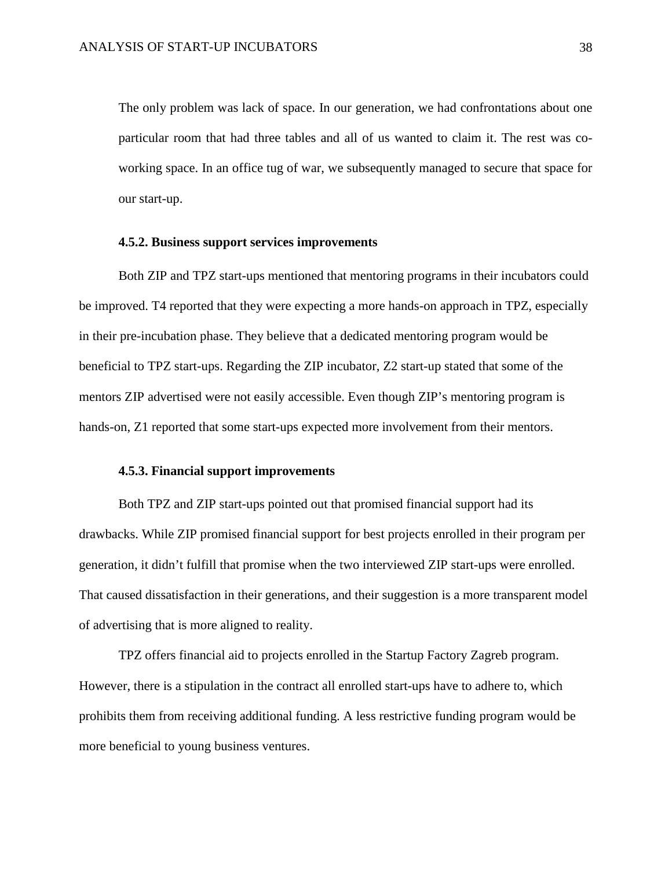The only problem was lack of space. In our generation, we had confrontations about one particular room that had three tables and all of us wanted to claim it. The rest was coworking space. In an office tug of war, we subsequently managed to secure that space for our start-up.

#### <span id="page-38-0"></span>**4.5.2. Business support services improvements**

Both ZIP and TPZ start-ups mentioned that mentoring programs in their incubators could be improved. T4 reported that they were expecting a more hands-on approach in TPZ, especially in their pre-incubation phase. They believe that a dedicated mentoring program would be beneficial to TPZ start-ups. Regarding the ZIP incubator, Z2 start-up stated that some of the mentors ZIP advertised were not easily accessible. Even though ZIP's mentoring program is hands-on, Z1 reported that some start-ups expected more involvement from their mentors.

#### <span id="page-38-1"></span>**4.5.3. Financial support improvements**

Both TPZ and ZIP start-ups pointed out that promised financial support had its drawbacks. While ZIP promised financial support for best projects enrolled in their program per generation, it didn't fulfill that promise when the two interviewed ZIP start-ups were enrolled. That caused dissatisfaction in their generations, and their suggestion is a more transparent model of advertising that is more aligned to reality.

TPZ offers financial aid to projects enrolled in the Startup Factory Zagreb program. However, there is a stipulation in the contract all enrolled start-ups have to adhere to, which prohibits them from receiving additional funding. A less restrictive funding program would be more beneficial to young business ventures.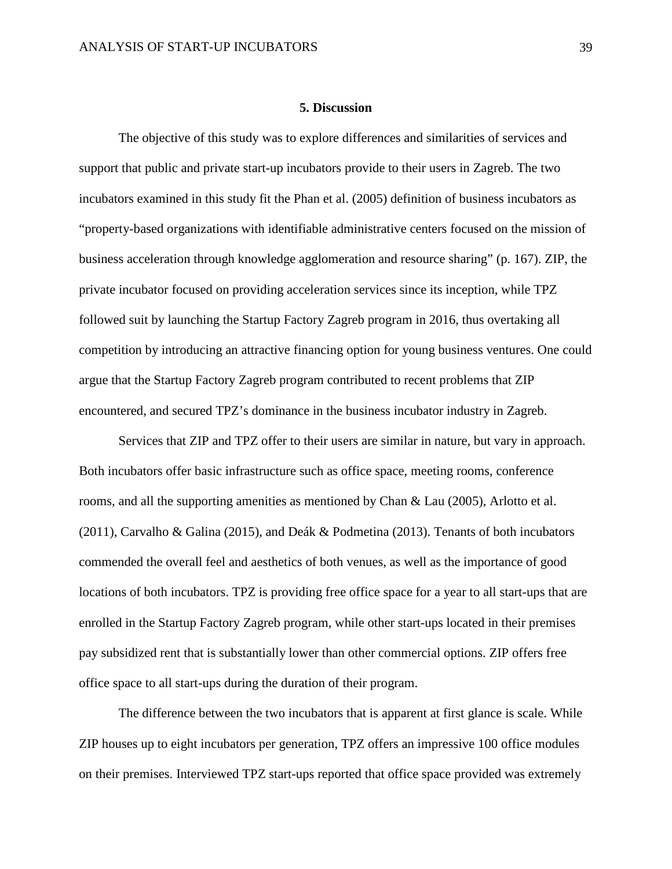#### **5. Discussion**

<span id="page-39-0"></span>The objective of this study was to explore differences and similarities of services and support that public and private start-up incubators provide to their users in Zagreb. The two incubators examined in this study fit the Phan et al. (2005) definition of business incubators as "property-based organizations with identifiable administrative centers focused on the mission of business acceleration through knowledge agglomeration and resource sharing" (p. 167). ZIP, the private incubator focused on providing acceleration services since its inception, while TPZ followed suit by launching the Startup Factory Zagreb program in 2016, thus overtaking all competition by introducing an attractive financing option for young business ventures. One could argue that the Startup Factory Zagreb program contributed to recent problems that ZIP encountered, and secured TPZ's dominance in the business incubator industry in Zagreb.

Services that ZIP and TPZ offer to their users are similar in nature, but vary in approach. Both incubators offer basic infrastructure such as office space, meeting rooms, conference rooms, and all the supporting amenities as mentioned by Chan & Lau (2005), Arlotto et al. (2011), Carvalho & Galina (2015), and Deák & Podmetina (2013). Tenants of both incubators commended the overall feel and aesthetics of both venues, as well as the importance of good locations of both incubators. TPZ is providing free office space for a year to all start-ups that are enrolled in the Startup Factory Zagreb program, while other start-ups located in their premises pay subsidized rent that is substantially lower than other commercial options. ZIP offers free office space to all start-ups during the duration of their program.

The difference between the two incubators that is apparent at first glance is scale. While ZIP houses up to eight incubators per generation, TPZ offers an impressive 100 office modules on their premises. Interviewed TPZ start-ups reported that office space provided was extremely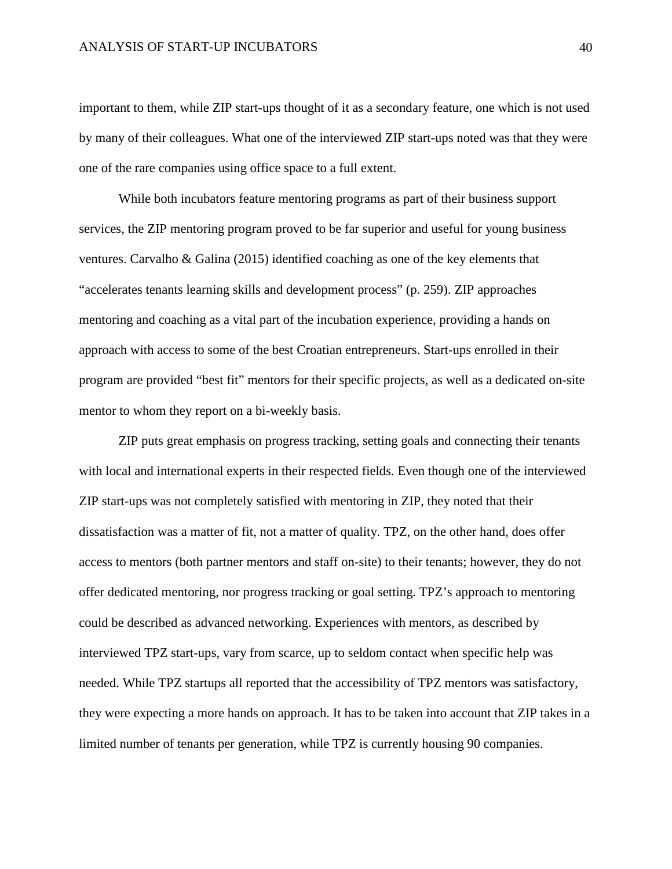important to them, while ZIP start-ups thought of it as a secondary feature, one which is not used by many of their colleagues. What one of the interviewed ZIP start-ups noted was that they were one of the rare companies using office space to a full extent.

While both incubators feature mentoring programs as part of their business support services, the ZIP mentoring program proved to be far superior and useful for young business ventures. Carvalho & Galina (2015) identified coaching as one of the key elements that "accelerates tenants learning skills and development process" (p. 259). ZIP approaches mentoring and coaching as a vital part of the incubation experience, providing a hands on approach with access to some of the best Croatian entrepreneurs. Start-ups enrolled in their program are provided "best fit" mentors for their specific projects, as well as a dedicated on-site mentor to whom they report on a bi-weekly basis.

ZIP puts great emphasis on progress tracking, setting goals and connecting their tenants with local and international experts in their respected fields. Even though one of the interviewed ZIP start-ups was not completely satisfied with mentoring in ZIP, they noted that their dissatisfaction was a matter of fit, not a matter of quality. TPZ, on the other hand, does offer access to mentors (both partner mentors and staff on-site) to their tenants; however, they do not offer dedicated mentoring, nor progress tracking or goal setting. TPZ's approach to mentoring could be described as advanced networking. Experiences with mentors, as described by interviewed TPZ start-ups, vary from scarce, up to seldom contact when specific help was needed. While TPZ startups all reported that the accessibility of TPZ mentors was satisfactory, they were expecting a more hands on approach. It has to be taken into account that ZIP takes in a limited number of tenants per generation, while TPZ is currently housing 90 companies.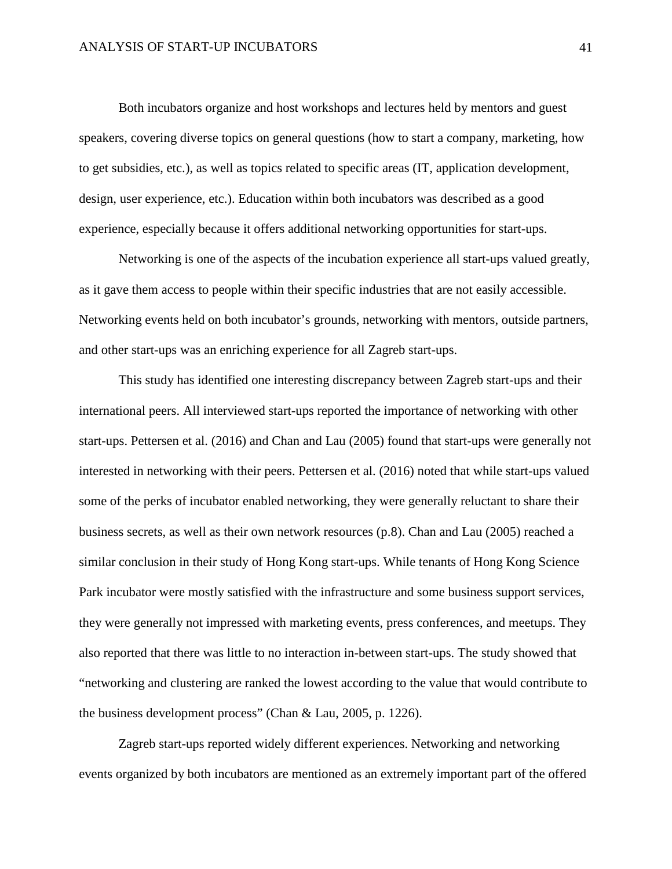Both incubators organize and host workshops and lectures held by mentors and guest speakers, covering diverse topics on general questions (how to start a company, marketing, how to get subsidies, etc.), as well as topics related to specific areas (IT, application development, design, user experience, etc.). Education within both incubators was described as a good experience, especially because it offers additional networking opportunities for start-ups.

Networking is one of the aspects of the incubation experience all start-ups valued greatly, as it gave them access to people within their specific industries that are not easily accessible. Networking events held on both incubator's grounds, networking with mentors, outside partners, and other start-ups was an enriching experience for all Zagreb start-ups.

This study has identified one interesting discrepancy between Zagreb start-ups and their international peers. All interviewed start-ups reported the importance of networking with other start-ups. Pettersen et al. (2016) and Chan and Lau (2005) found that start-ups were generally not interested in networking with their peers. Pettersen et al. (2016) noted that while start-ups valued some of the perks of incubator enabled networking, they were generally reluctant to share their business secrets, as well as their own network resources (p.8). Chan and Lau (2005) reached a similar conclusion in their study of Hong Kong start-ups. While tenants of Hong Kong Science Park incubator were mostly satisfied with the infrastructure and some business support services, they were generally not impressed with marketing events, press conferences, and meetups. They also reported that there was little to no interaction in-between start-ups. The study showed that "networking and clustering are ranked the lowest according to the value that would contribute to the business development process" (Chan & Lau, 2005, p. 1226).

Zagreb start-ups reported widely different experiences. Networking and networking events organized by both incubators are mentioned as an extremely important part of the offered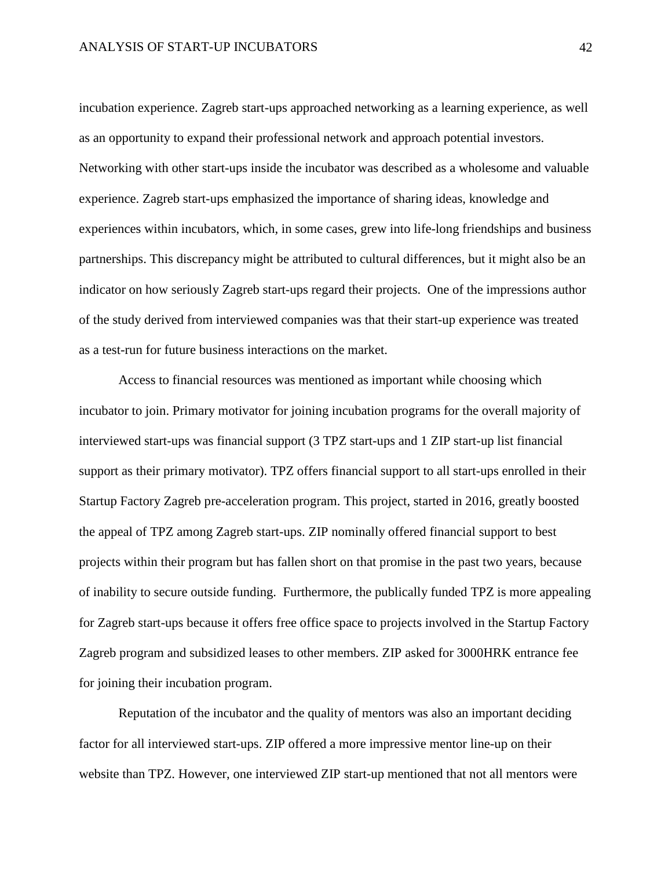incubation experience. Zagreb start-ups approached networking as a learning experience, as well as an opportunity to expand their professional network and approach potential investors. Networking with other start-ups inside the incubator was described as a wholesome and valuable experience. Zagreb start-ups emphasized the importance of sharing ideas, knowledge and experiences within incubators, which, in some cases, grew into life-long friendships and business partnerships. This discrepancy might be attributed to cultural differences, but it might also be an indicator on how seriously Zagreb start-ups regard their projects. One of the impressions author of the study derived from interviewed companies was that their start-up experience was treated as a test-run for future business interactions on the market.

Access to financial resources was mentioned as important while choosing which incubator to join. Primary motivator for joining incubation programs for the overall majority of interviewed start-ups was financial support (3 TPZ start-ups and 1 ZIP start-up list financial support as their primary motivator). TPZ offers financial support to all start-ups enrolled in their Startup Factory Zagreb pre-acceleration program. This project, started in 2016, greatly boosted the appeal of TPZ among Zagreb start-ups. ZIP nominally offered financial support to best projects within their program but has fallen short on that promise in the past two years, because of inability to secure outside funding. Furthermore, the publically funded TPZ is more appealing for Zagreb start-ups because it offers free office space to projects involved in the Startup Factory Zagreb program and subsidized leases to other members. ZIP asked for 3000HRK entrance fee for joining their incubation program.

Reputation of the incubator and the quality of mentors was also an important deciding factor for all interviewed start-ups. ZIP offered a more impressive mentor line-up on their website than TPZ. However, one interviewed ZIP start-up mentioned that not all mentors were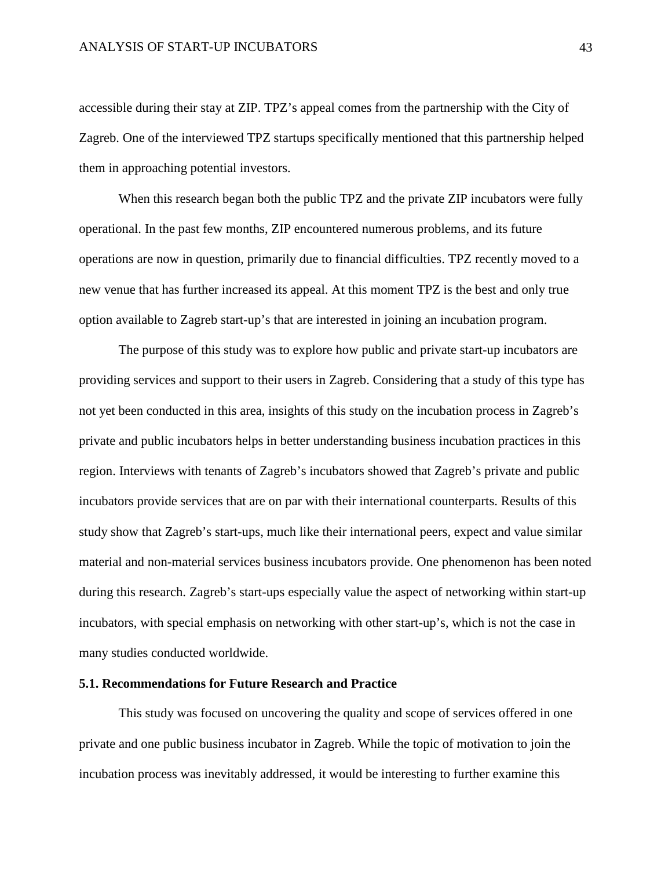accessible during their stay at ZIP. TPZ's appeal comes from the partnership with the City of Zagreb. One of the interviewed TPZ startups specifically mentioned that this partnership helped them in approaching potential investors.

When this research began both the public TPZ and the private ZIP incubators were fully operational. In the past few months, ZIP encountered numerous problems, and its future operations are now in question, primarily due to financial difficulties. TPZ recently moved to a new venue that has further increased its appeal. At this moment TPZ is the best and only true option available to Zagreb start-up's that are interested in joining an incubation program.

The purpose of this study was to explore how public and private start-up incubators are providing services and support to their users in Zagreb. Considering that a study of this type has not yet been conducted in this area, insights of this study on the incubation process in Zagreb's private and public incubators helps in better understanding business incubation practices in this region. Interviews with tenants of Zagreb's incubators showed that Zagreb's private and public incubators provide services that are on par with their international counterparts. Results of this study show that Zagreb's start-ups, much like their international peers, expect and value similar material and non-material services business incubators provide. One phenomenon has been noted during this research. Zagreb's start-ups especially value the aspect of networking within start-up incubators, with special emphasis on networking with other start-up's, which is not the case in many studies conducted worldwide.

#### <span id="page-43-0"></span>**5.1. Recommendations for Future Research and Practice**

This study was focused on uncovering the quality and scope of services offered in one private and one public business incubator in Zagreb. While the topic of motivation to join the incubation process was inevitably addressed, it would be interesting to further examine this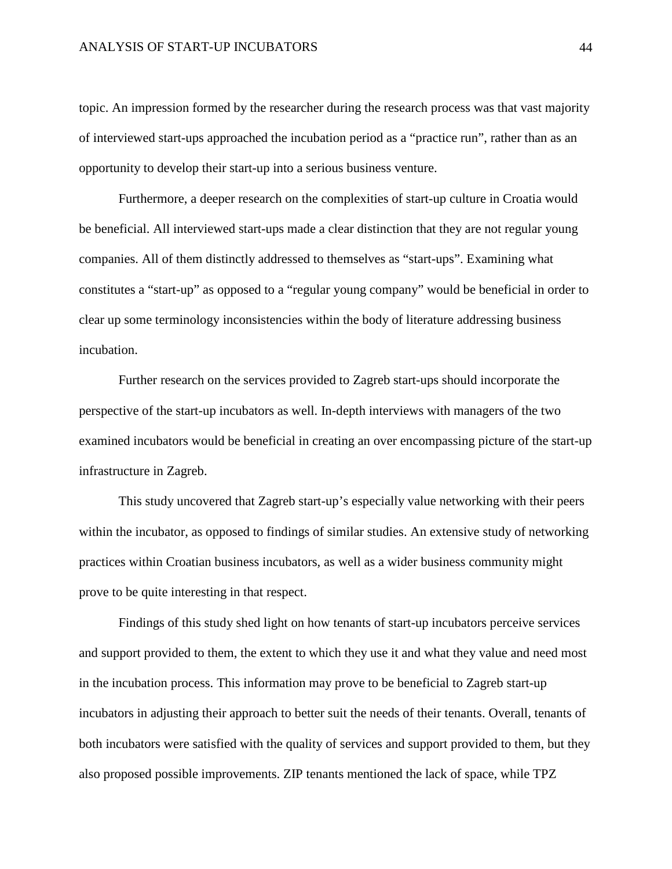topic. An impression formed by the researcher during the research process was that vast majority of interviewed start-ups approached the incubation period as a "practice run", rather than as an opportunity to develop their start-up into a serious business venture.

Furthermore, a deeper research on the complexities of start-up culture in Croatia would be beneficial. All interviewed start-ups made a clear distinction that they are not regular young companies. All of them distinctly addressed to themselves as "start-ups". Examining what constitutes a "start-up" as opposed to a "regular young company" would be beneficial in order to clear up some terminology inconsistencies within the body of literature addressing business incubation.

Further research on the services provided to Zagreb start-ups should incorporate the perspective of the start-up incubators as well. In-depth interviews with managers of the two examined incubators would be beneficial in creating an over encompassing picture of the start-up infrastructure in Zagreb.

This study uncovered that Zagreb start-up's especially value networking with their peers within the incubator, as opposed to findings of similar studies. An extensive study of networking practices within Croatian business incubators, as well as a wider business community might prove to be quite interesting in that respect.

Findings of this study shed light on how tenants of start-up incubators perceive services and support provided to them, the extent to which they use it and what they value and need most in the incubation process. This information may prove to be beneficial to Zagreb start-up incubators in adjusting their approach to better suit the needs of their tenants. Overall, tenants of both incubators were satisfied with the quality of services and support provided to them, but they also proposed possible improvements. ZIP tenants mentioned the lack of space, while TPZ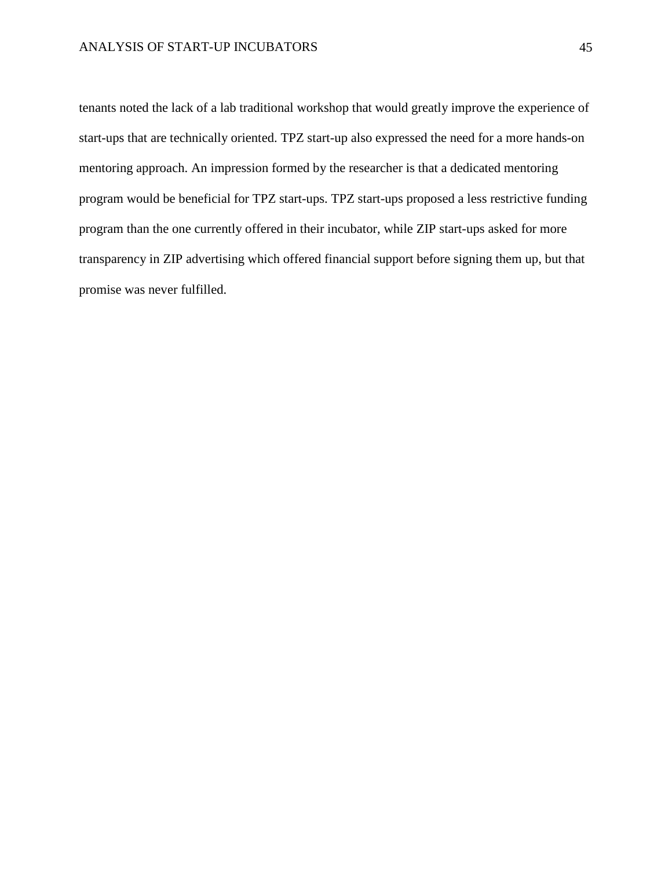tenants noted the lack of a lab traditional workshop that would greatly improve the experience of start-ups that are technically oriented. TPZ start-up also expressed the need for a more hands-on mentoring approach. An impression formed by the researcher is that a dedicated mentoring program would be beneficial for TPZ start-ups. TPZ start-ups proposed a less restrictive funding program than the one currently offered in their incubator, while ZIP start-ups asked for more transparency in ZIP advertising which offered financial support before signing them up, but that promise was never fulfilled.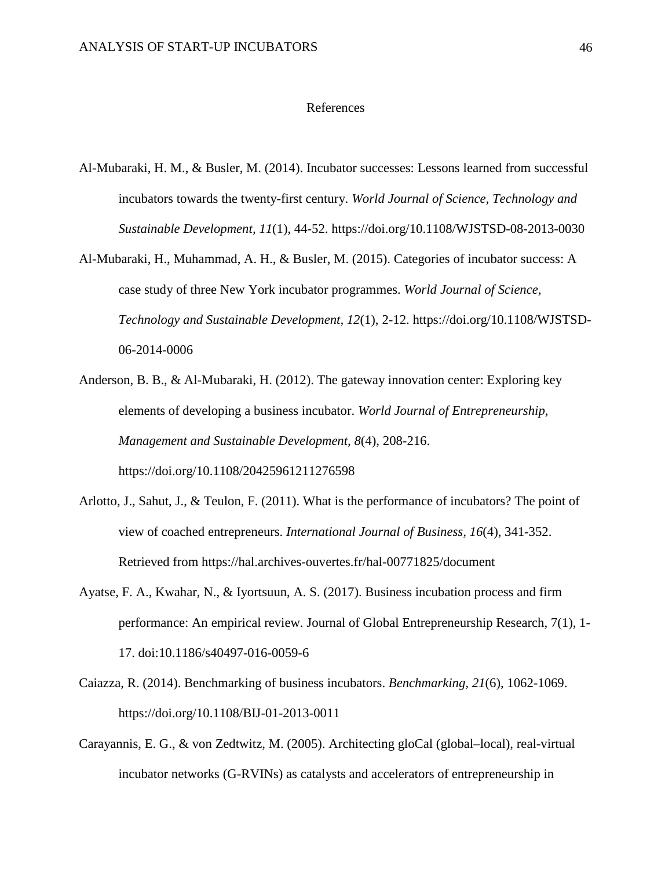#### References

- Al-Mubaraki, H. M., & Busler, M. (2014). Incubator successes: Lessons learned from successful incubators towards the twenty-first century. *World Journal of Science, Technology and Sustainable Development, 11*(1), 44-52. https://doi.org/10.1108/WJSTSD-08-2013-0030
- Al-Mubaraki, H., Muhammad, A. H., & Busler, M. (2015). Categories of incubator success: A case study of three New York incubator programmes. *World Journal of Science, Technology and Sustainable Development, 12*(1), 2-12. https://doi.org/10.1108/WJSTSD-06-2014-0006
- Anderson, B. B., & Al-Mubaraki, H. (2012). The gateway innovation center: Exploring key elements of developing a business incubator. *World Journal of Entrepreneurship, Management and Sustainable Development, 8*(4), 208-216. https://doi.org/10.1108/20425961211276598
- Arlotto, J., Sahut, J., & Teulon, F. (2011). What is the performance of incubators? The point of view of coached entrepreneurs. *International Journal of Business, 16*(4), 341-352. Retrieved from https://hal.archives-ouvertes.fr/hal-00771825/document
- Ayatse, F. A., Kwahar, N., & Iyortsuun, A. S. (2017). Business incubation process and firm performance: An empirical review. Journal of Global Entrepreneurship Research, 7(1), 1- 17. doi:10.1186/s40497-016-0059-6
- Caiazza, R. (2014). Benchmarking of business incubators. *Benchmarking, 21*(6), 1062-1069. https://doi.org/10.1108/BIJ-01-2013-0011
- Carayannis, E. G., & von Zedtwitz, M. (2005). Architecting gloCal (global–local), real-virtual incubator networks (G-RVINs) as catalysts and accelerators of entrepreneurship in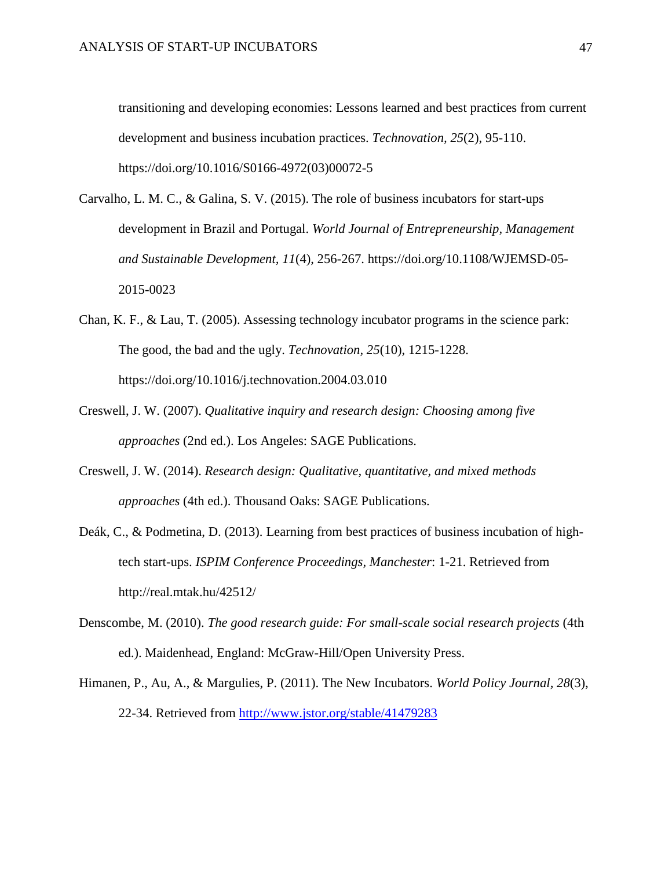transitioning and developing economies: Lessons learned and best practices from current development and business incubation practices. *Technovation, 25*(2), 95-110. https://doi.org/10.1016/S0166-4972(03)00072-5

- Carvalho, L. M. C., & Galina, S. V. (2015). The role of business incubators for start-ups development in Brazil and Portugal. *World Journal of Entrepreneurship, Management and Sustainable Development, 11*(4), 256-267. https://doi.org/10.1108/WJEMSD-05- 2015-0023
- Chan, K. F., & Lau, T. (2005). Assessing technology incubator programs in the science park: The good, the bad and the ugly. *Technovation, 25*(10), 1215-1228. https://doi.org/10.1016/j.technovation.2004.03.010
- Creswell, J. W. (2007). *Qualitative inquiry and research design: Choosing among five approaches* (2nd ed.). Los Angeles: SAGE Publications.
- Creswell, J. W. (2014). *Research design: Qualitative, quantitative, and mixed methods approaches* (4th ed.). Thousand Oaks: SAGE Publications.
- Deák, C., & Podmetina, D. (2013). Learning from best practices of business incubation of hightech start-ups. *ISPIM Conference Proceedings, Manchester*: 1-21. Retrieved from http://real.mtak.hu/42512/
- Denscombe, M. (2010). *The good research guide: For small-scale social research projects* (4th ed.). Maidenhead, England: McGraw-Hill/Open University Press.
- Himanen, P., Au, A., & Margulies, P. (2011). The New Incubators. *World Policy Journal, 28*(3), 22-34. Retrieved from<http://www.jstor.org/stable/41479283>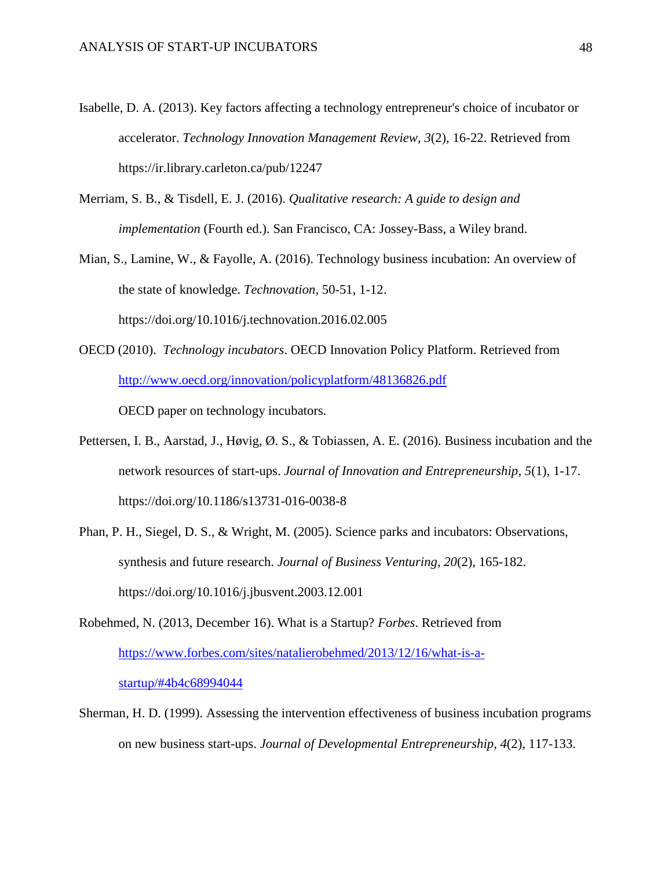- Isabelle, D. A. (2013). Key factors affecting a technology entrepreneur's choice of incubator or accelerator. *Technology Innovation Management Review*, *3*(2), 16-22. Retrieved from https://ir.library.carleton.ca/pub/12247
- Merriam, S. B., & Tisdell, E. J. (2016). *Qualitative research: A guide to design and implementation* (Fourth ed.). San Francisco, CA: Jossey-Bass, a Wiley brand.
- Mian, S., Lamine, W., & Fayolle, A. (2016). Technology business incubation: An overview of the state of knowledge. *Technovation*, 50-51, 1-12. https://doi.org/10.1016/j.technovation.2016.02.005
- OECD (2010). *Technology incubators*. OECD Innovation Policy Platform. Retrieved from <http://www.oecd.org/innovation/policyplatform/48136826.pdf>

OECD paper on technology incubators.

- Pettersen, I. B., Aarstad, J., Høvig, Ø. S., & Tobiassen, A. E. (2016). Business incubation and the network resources of start-ups. *Journal of Innovation and Entrepreneurship, 5*(1), 1-17. https://doi.org/10.1186/s13731-016-0038-8
- Phan, P. H., Siegel, D. S., & Wright, M. (2005). Science parks and incubators: Observations, synthesis and future research. *Journal of Business Venturing, 20*(2), 165-182. https://doi.org/10.1016/j.jbusvent.2003.12.001
- Robehmed, N. (2013, December 16). What is a Startup? *Forbes*. Retrieved from [https://www.forbes.com/sites/natalierobehmed/2013/12/16/what-is-a](https://www.forbes.com/sites/natalierobehmed/2013/12/16/what-is-a-startup/#4b4c68994044)[startup/#4b4c68994044](https://www.forbes.com/sites/natalierobehmed/2013/12/16/what-is-a-startup/#4b4c68994044)
- Sherman, H. D. (1999). Assessing the intervention effectiveness of business incubation programs on new business start-ups. *Journal of Developmental Entrepreneurship, 4*(2), 117-133.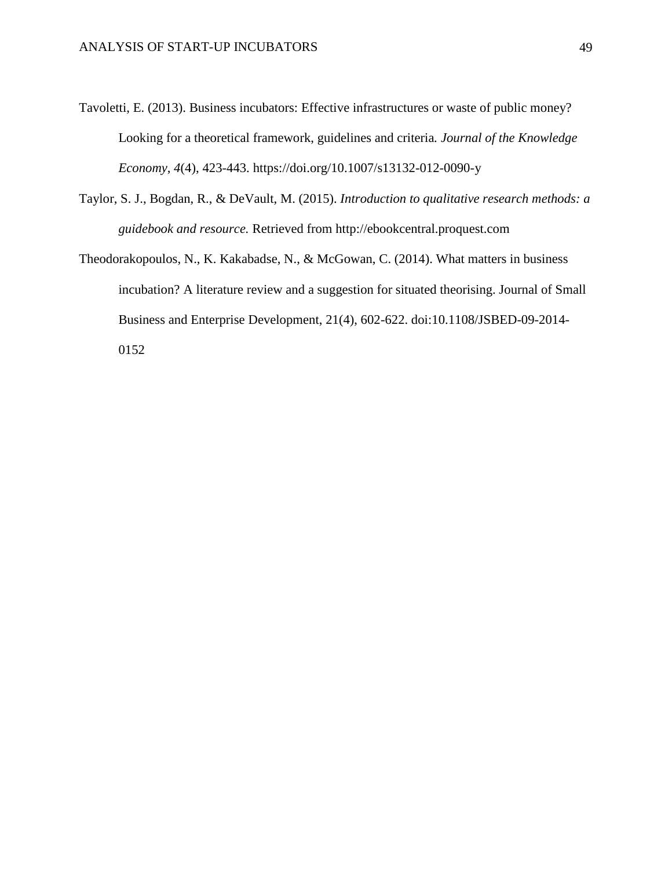- Tavoletti, E. (2013). Business incubators: Effective infrastructures or waste of public money? Looking for a theoretical framework, guidelines and criteria*. Journal of the Knowledge Economy, 4*(4), 423-443. https://doi.org/10.1007/s13132-012-0090-y
- Taylor, S. J., Bogdan, R., & DeVault, M. (2015). *Introduction to qualitative research methods: a guidebook and resource.* Retrieved from http://ebookcentral.proquest.com
- Theodorakopoulos, N., K. Kakabadse, N., & McGowan, C. (2014). What matters in business incubation? A literature review and a suggestion for situated theorising. Journal of Small Business and Enterprise Development, 21(4), 602-622. doi:10.1108/JSBED-09-2014- 0152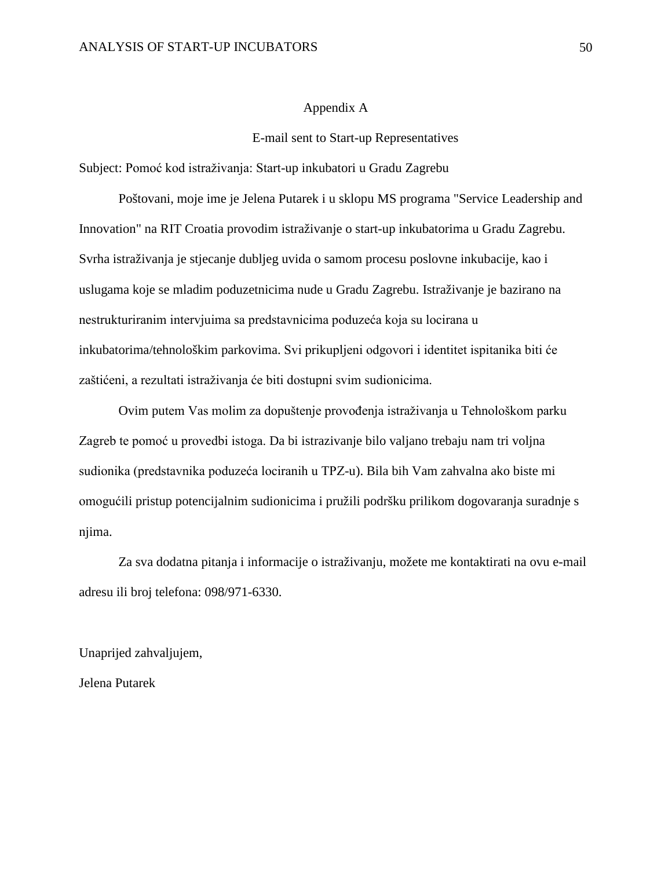#### Appendix A

#### E-mail sent to Start-up Representatives

<span id="page-50-0"></span>Subject: Pomoć kod istraživanja: Start-up inkubatori u Gradu Zagrebu

Poštovani, moje ime je Jelena Putarek i u sklopu MS programa "Service Leadership and Innovation" na RIT Croatia provodim istraživanje o start-up inkubatorima u Gradu Zagrebu. Svrha istraživanja je stjecanje dubljeg uvida o samom procesu poslovne inkubacije, kao i uslugama koje se mladim poduzetnicima nude u Gradu Zagrebu. Istraživanje je bazirano na nestrukturiranim intervjuima sa predstavnicima poduzeća koja su locirana u inkubatorima/tehnološkim parkovima. Svi prikupljeni odgovori i identitet ispitanika biti će zaštićeni, a rezultati istraživanja će biti dostupni svim sudionicima.

Ovim putem Vas molim za dopuštenje provođenja istraživanja u Tehnološkom parku Zagreb te pomoć u provedbi istoga. Da bi istrazivanje bilo valjano trebaju nam tri voljna sudionika (predstavnika poduzeća lociranih u TPZ-u). Bila bih Vam zahvalna ako biste mi omogućili pristup potencijalnim sudionicima i pružili podršku prilikom dogovaranja suradnje s njima.

Za sva dodatna pitanja i informacije o istraživanju, možete me kontaktirati na ovu e-mail adresu ili broj telefona: 098/971-6330.

Unaprijed zahvaljujem,

Jelena Putarek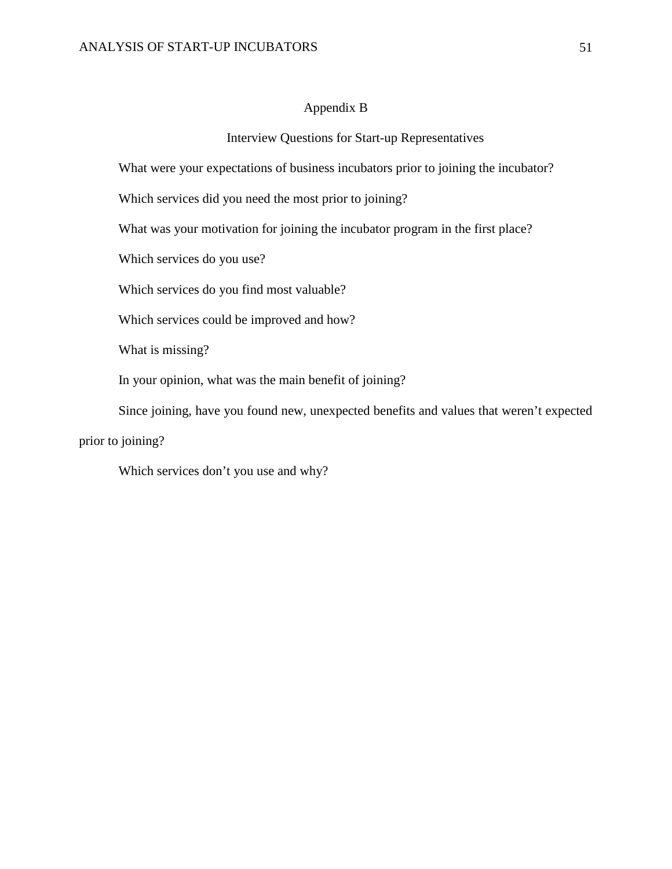#### Appendix B

#### Interview Questions for Start-up Representatives

<span id="page-51-0"></span>What were your expectations of business incubators prior to joining the incubator?

Which services did you need the most prior to joining?

What was your motivation for joining the incubator program in the first place?

Which services do you use?

Which services do you find most valuable?

Which services could be improved and how?

What is missing?

In your opinion, what was the main benefit of joining?

Since joining, have you found new, unexpected benefits and values that weren't expected

prior to joining?

Which services don't you use and why?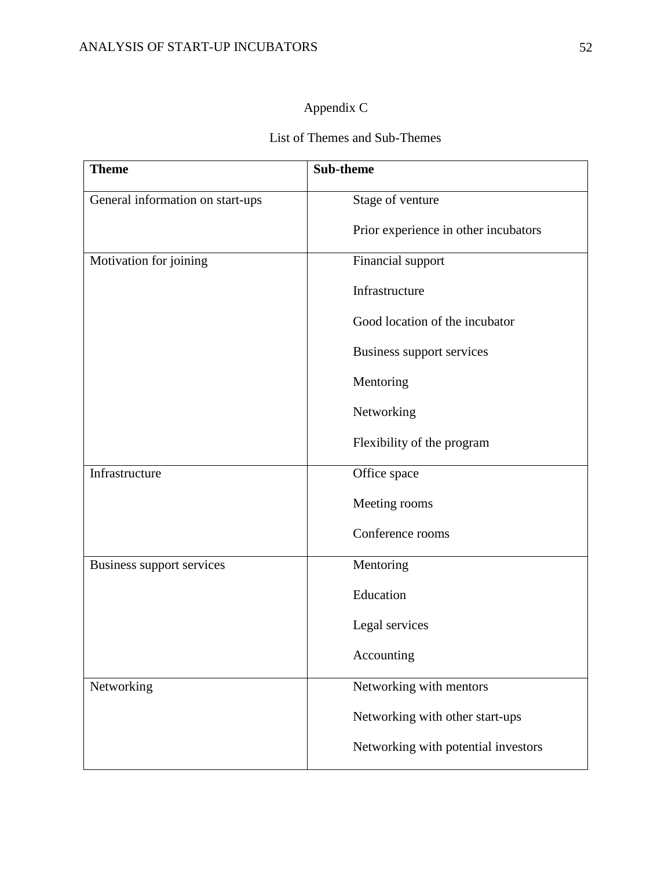## Appendix C

## List of Themes and Sub-Themes

<span id="page-52-0"></span>

| <b>Theme</b>                     | <b>Sub-theme</b>                     |
|----------------------------------|--------------------------------------|
| General information on start-ups | Stage of venture                     |
|                                  | Prior experience in other incubators |
| Motivation for joining           | Financial support                    |
|                                  | Infrastructure                       |
|                                  | Good location of the incubator       |
|                                  | Business support services            |
|                                  | Mentoring                            |
|                                  | Networking                           |
|                                  | Flexibility of the program           |
| Infrastructure                   | Office space                         |
|                                  | Meeting rooms                        |
|                                  | Conference rooms                     |
| Business support services        | Mentoring                            |
|                                  | Education                            |
|                                  | Legal services                       |
|                                  | Accounting                           |
| Networking                       | Networking with mentors              |
|                                  | Networking with other start-ups      |
|                                  | Networking with potential investors  |